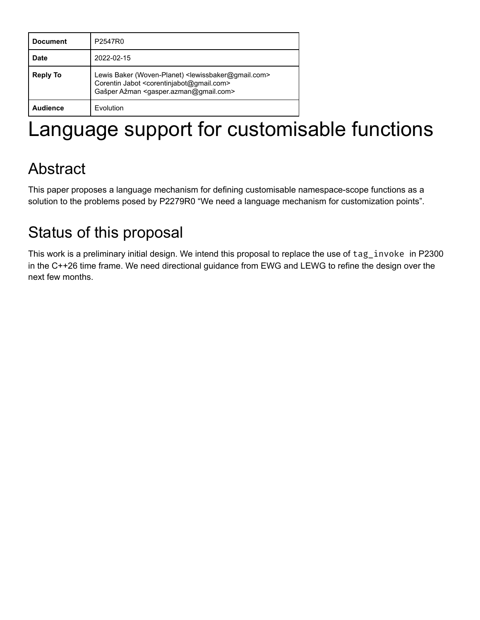| <b>Document</b> | P2547R0                                                                                                                                                                                                              |
|-----------------|----------------------------------------------------------------------------------------------------------------------------------------------------------------------------------------------------------------------|
| Date            | 2022-02-15                                                                                                                                                                                                           |
| <b>Reply To</b> | Lewis Baker (Woven-Planet) <lewissbaker@gmail.com><br/>Corentin Jabot <corentinjabot@gmail.com><br/>Gašper Ažman <gasper.azman@gmail.com></gasper.azman@gmail.com></corentinjabot@gmail.com></lewissbaker@gmail.com> |
| <b>Audience</b> | Evolution                                                                                                                                                                                                            |

# Language support for customisable functions

# Abstract

This paper proposes a language mechanism for defining customisable namespace-scope functions as a solution to the problems posed by P2279R0 "We need a language mechanism for customization points".

# Status of this proposal

This work is a preliminary initial design. We intend this proposal to replace the use of tag\_invoke in P2300 in the C++26 time frame. We need directional guidance from EWG and LEWG to refine the design over the next few months.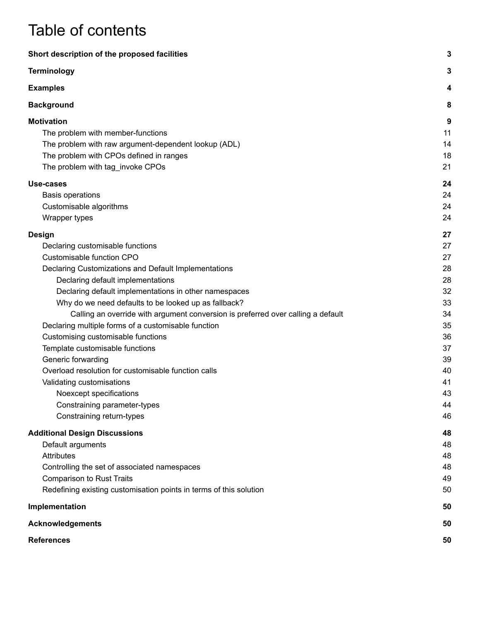# Table of contents

| Short description of the proposed facilities                                     | 3  |
|----------------------------------------------------------------------------------|----|
| <b>Terminology</b>                                                               | 3  |
| <b>Examples</b>                                                                  | 4  |
| <b>Background</b>                                                                | 8  |
| <b>Motivation</b>                                                                | 9  |
| The problem with member-functions                                                | 11 |
| The problem with raw argument-dependent lookup (ADL)                             | 14 |
| The problem with CPOs defined in ranges                                          | 18 |
| The problem with tag_invoke CPOs                                                 | 21 |
| Use-cases                                                                        | 24 |
| <b>Basis operations</b>                                                          | 24 |
| Customisable algorithms                                                          | 24 |
| Wrapper types                                                                    | 24 |
| <b>Design</b>                                                                    | 27 |
| Declaring customisable functions                                                 | 27 |
| Customisable function CPO                                                        | 27 |
| Declaring Customizations and Default Implementations                             | 28 |
| Declaring default implementations                                                | 28 |
| Declaring default implementations in other namespaces                            | 32 |
| Why do we need defaults to be looked up as fallback?                             | 33 |
| Calling an override with argument conversion is preferred over calling a default | 34 |
| Declaring multiple forms of a customisable function                              | 35 |
| Customising customisable functions                                               | 36 |
| Template customisable functions                                                  | 37 |
| Generic forwarding                                                               | 39 |
| Overload resolution for customisable function calls                              | 40 |
| Validating customisations                                                        | 41 |
| Noexcept specifications                                                          | 43 |
| Constraining parameter-types                                                     | 44 |
| Constraining return-types                                                        | 46 |
| <b>Additional Design Discussions</b>                                             | 48 |
| Default arguments                                                                | 48 |
| <b>Attributes</b>                                                                | 48 |
| Controlling the set of associated namespaces                                     | 48 |
| <b>Comparison to Rust Traits</b>                                                 | 49 |
| Redefining existing customisation points in terms of this solution               | 50 |
| Implementation                                                                   | 50 |
| <b>Acknowledgements</b>                                                          | 50 |
| <b>References</b>                                                                | 50 |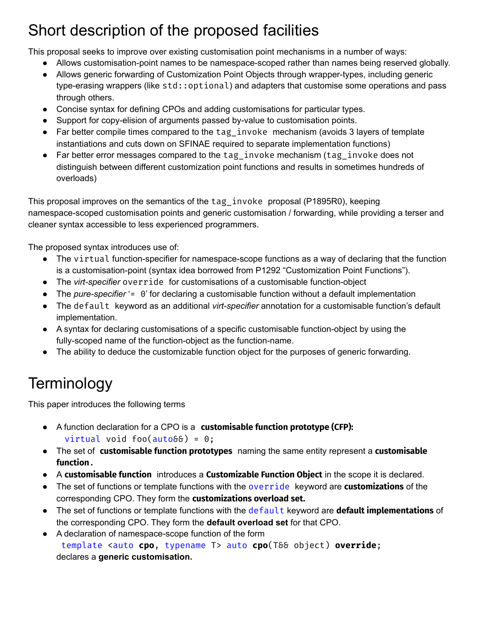# <span id="page-2-0"></span>Short description of the proposed facilities

This proposal seeks to improve over existing customisation point mechanisms in a number of ways:

- Allows customisation-point names to be namespace-scoped rather than names being reserved globally.
- Allows generic forwarding of Customization Point Objects through wrapper-types, including generic type-erasing wrappers (like std::optional) and adapters that customise some operations and pass through others.
- Concise syntax for defining CPOs and adding customisations for particular types.
- Support for copy-elision of arguments passed by-value to customisation points.
- Far better compile times compared to the tag\_invoke mechanism (avoids 3 layers of template instantiations and cuts down on SFINAE required to separate implementation functions)
- Far better error messages compared to the tag invoke mechanism (tag invoke does not distinguish between different customization point functions and results in sometimes hundreds of overloads)

This proposal improves on the semantics of the tag\_invoke proposal (P1895R0), keeping namespace-scoped customisation points and generic customisation / forwarding, while providing a terser and cleaner syntax accessible to less experienced programmers.

The proposed syntax introduces use of:

- The virtual function-specifier for namespace-scope functions as a way of declaring that the function is a customisation-point (syntax idea borrowed from P1292 "Customization Point Functions").
- The *virt-specifier* override for customisations of a customisable function-object
- The *pure-specifier* '= 0' for declaring a customisable function without a default implementation
- The default keyword as an additional *virt-specifier* annotation for a customisable function's default implementation.
- A syntax for declaring customisations of a specific customisable function-object by using the fully-scoped name of the function-object as the function-name.
- The ability to deduce the customizable function object for the purposes of generic forwarding.

# <span id="page-2-1"></span>**Terminology**

This paper introduces the following terms

- A function declaration for a CPO is a **customisable function prototype (CFP):** virtual void foo $(auto\delta\delta) = 0;$
- The set of **customisable function prototypes** naming the same entity represent a **customisable function**.
- A **customisable function** introduces a **Customizable Function Object** in the scope it is declared.
- The set of functions or template functions with the override keyword are **customizations** of the corresponding CPO. They form the **customizations overload set.**
- The set of functions or template functions with the default keyword are **default implementations** of the corresponding CPO. They form the **default overload set** for that CPO.
- A declaration of namespace-scope function of the form template <auto **cpo**, typename T> auto **cpo**(T&& object) **override**; declares a **generic customisation.**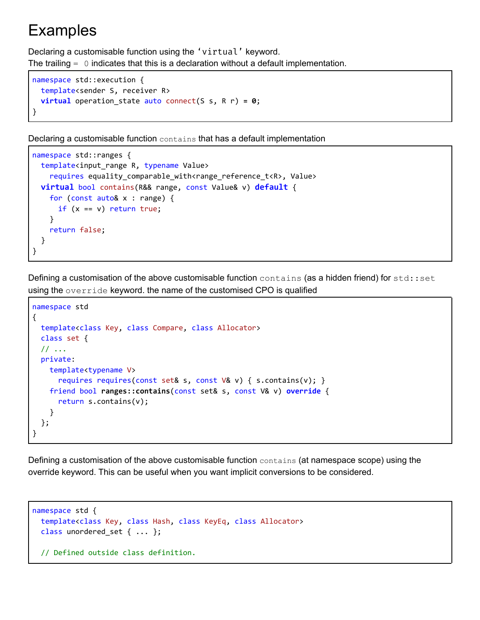## <span id="page-3-0"></span>Examples

Declaring a customisable function using the 'virtual' keyword. The trailing  $= 0$  indicates that this is a declaration without a default implementation.

```
namespace std::execution {
 template<sender S, receiver R>
 virtual operation_state auto connect(S s, R r) = 0;
}
```
Declaring a customisable function contains that has a default implementation

```
namespace std::ranges {
 template<input_range R, typename Value>
    requires equality_comparable_with<range_reference_t<R>, Value>
 virtual bool contains(R&& range, const Value& v) default {
    for (const auto& x : range) {
      if (x == v) return true;
    }
    return false;
 }
}
```
Defining a customisation of the above customisable function contains (as a hidden friend) for std::set using the override keyword. the name of the customised CPO is qualified

```
namespace std
{
 template<class Key, class Compare, class Allocator>
 class set {
 // ...
 private:
   template<typename V>
      requires requires(const set& s, const V& v) { s.contains(v); }
   friend bool ranges::contains(const set& s, const V& v) override {
      return s.contains(v);
    }
 };
}
```
Defining a customisation of the above customisable function contains (at namespace scope) using the override keyword. This can be useful when you want implicit conversions to be considered.

```
namespace std {
 template<class Key, class Hash, class KeyEq, class Allocator>
 class unordered_set { ... };
  // Defined outside class definition.
```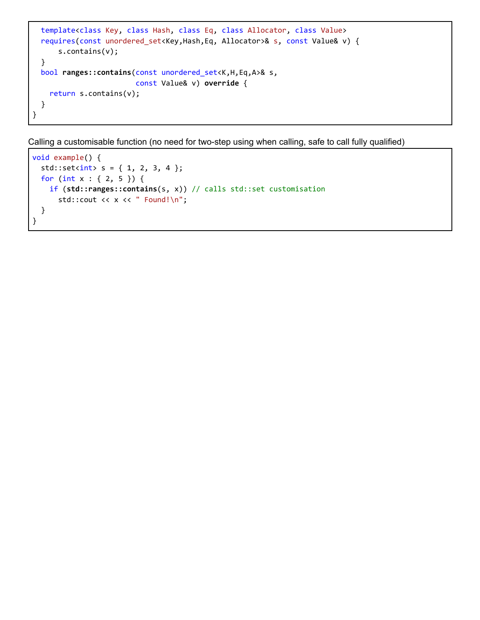```
template<class Key, class Hash, class Eq, class Allocator, class Value>
 requires(const unordered_set<Key,Hash,Eq, Allocator>& s, const Value& v) {
     s.contains(v);
 }
 bool ranges::contains(const unordered_set<K,H,Eq,A>& s,
                        const Value& v) override {
    return s.contains(v);
 }
}
```
Calling a customisable function (no need for two-step using when calling, safe to call fully qualified)

```
void example() {
  std::set<sub>int</sub> s = { 1, 2, 3, 4 };for (int x : { 2, 5 }) {
   if (std::ranges::contains(s, x)) // calls std::set customisation
      std::cout << x << " Found!\n";
  }
}
```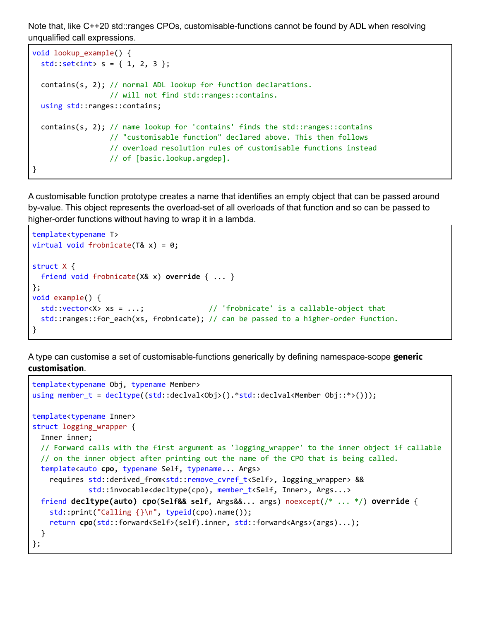Note that, like C++20 std::ranges CPOs, customisable-functions cannot be found by ADL when resolving unqualified call expressions.

```
void lookup_example() {
  std::set<i>int</i> > s = { 1, 2, 3 };contains(s, 2); // normal ADL lookup for function declarations.
                  // will not find std::ranges::contains.
 using std::ranges::contains;
  contains(s, 2); // name lookup for 'contains' finds the std::ranges::contains
                  // "customisable function" declared above. This then follows
                  // overload resolution rules of customisable functions instead
                  // of [basic.lookup.argdep].
}
```
A customisable function prototype creates a name that identifies an empty object that can be passed around by-value. This object represents the overload-set of all overloads of that function and so can be passed to higher-order functions without having to wrap it in a lambda.

```
template<typename T>
virtual void frobnicate(T& x) = 0;
struct X {
 friend void frobnicate(X& x) override { ... }
};
void example() {
 std::vector<X> xs = ...; // 'frobnicate' is a callable-object that
 std::ranges::for_each(xs, frobnicate); // can be passed to a higher-order function.
}
```
A type can customise a set of customisable-functions generically by defining namespace-scope **generic customisation**.

```
template<typename Obj, typename Member>
using member_t = decltype((std::declval<Obj>().*std::declval<Member Obj::*>()));
template<typename Inner>
struct logging wrapper {
 Inner inner;
 // Forward calls with the first argument as 'logging_wrapper' to the inner object if callable
  // on the inner object after printing out the name of the CPO that is being called.
 template<auto cpo, typename Self, typename... Args>
    requires std::derived_from<std::remove_cvref_t<Self>, logging_wrapper> &&
             std::invocable<decltype(cpo), member_t<Self, Inner>, Args...>
 friend decltype(auto) cpo(Self&& self, Args&&... args) noexcept(/* ... */) override {
    std::print("Calling {}\n", typeid(cpo).name());
    return cpo(std::forward<Self>(self).inner, std::forward<Args>(args)...);
 }
};
```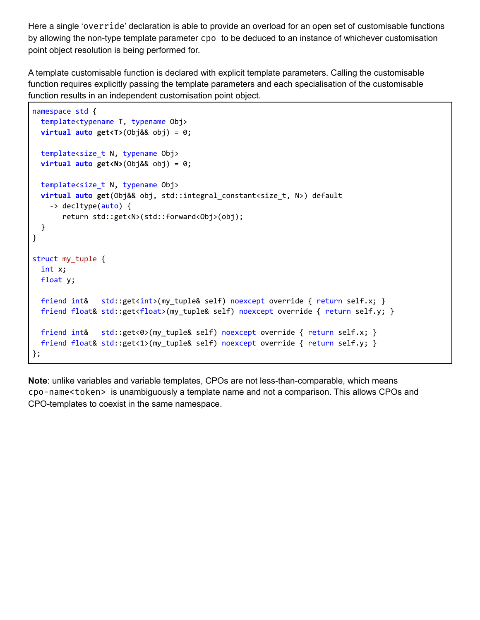Here a single 'override' declaration is able to provide an overload for an open set of customisable functions by allowing the non-type template parameter cpo to be deduced to an instance of whichever customisation point object resolution is being performed for.

A template customisable function is declared with explicit template parameters. Calling the customisable function requires explicitly passing the template parameters and each specialisation of the customisable function results in an independent customisation point object.

```
namespace std {
 template<typename T, typename Obj>
 virtual auto get<T>(Obj&& obj) = 0;
  template<size_t N, typename Obj>
 virtual auto get<N>(Obj&& obj) = 0;
 template<size t N, typename Obj>
 virtual auto get(Obj&& obj, std::integral_constant<size_t, N>) default
    -> decltype(auto) {
       return std::get<N>(std::forward<Obj>(obj);
  }
}
struct my_tuple {
 int x;
 float y;
 friend int& std::get<int>(my_tuple& self) noexcept override { return self.x; }
 friend float& std::get<float>(my_tuple& self) noexcept override { return self.y; }
 friend int& std::get<0>(my_tuple& self) noexcept override { return self.x; }
 friend float& std::get<1>(my_tuple& self) noexcept override { return self.y; }
};
```
**Note**: unlike variables and variable templates, CPOs are not less-than-comparable, which means cpo-name<token> is unambiguously a template name and not a comparison. This allows CPOs and CPO-templates to coexist in the same namespace.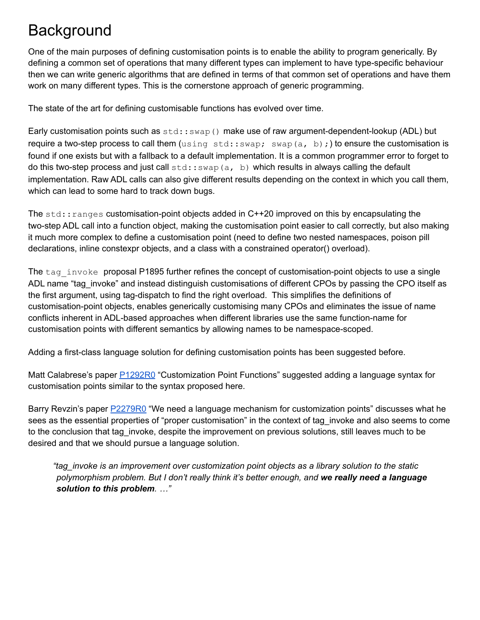# <span id="page-7-0"></span>**Background**

One of the main purposes of defining customisation points is to enable the ability to program generically. By defining a common set of operations that many different types can implement to have type-specific behaviour then we can write generic algorithms that are defined in terms of that common set of operations and have them work on many different types. This is the cornerstone approach of generic programming.

The state of the art for defining customisable functions has evolved over time.

Early customisation points such as  $std::swap()$  make use of raw argument-dependent-lookup (ADL) but require a two-step process to call them (using std::swap; swap(a, b);) to ensure the customisation is found if one exists but with a fallback to a default implementation. It is a common programmer error to forget to do this two-step process and just call  $std::swap(a, b)$  which results in always calling the default implementation. Raw ADL calls can also give different results depending on the context in which you call them, which can lead to some hard to track down bugs.

The std:: ranges customisation-point objects added in C++20 improved on this by encapsulating the two-step ADL call into a function object, making the customisation point easier to call correctly, but also making it much more complex to define a customisation point (need to define two nested namespaces, poison pill declarations, inline constexpr objects, and a class with a constrained operator() overload).

The  $tag$  invoke proposal P1895 further refines the concept of customisation-point objects to use a single ADL name "tag invoke" and instead distinguish customisations of different CPOs by passing the CPO itself as the first argument, using tag-dispatch to find the right overload. This simplifies the definitions of customisation-point objects, enables generically customising many CPOs and eliminates the issue of name conflicts inherent in ADL-based approaches when different libraries use the same function-name for customisation points with different semantics by allowing names to be namespace-scoped.

Adding a first-class language solution for defining customisation points has been suggested before.

Matt Calabrese's paper **[P1292R0](https://wg21.link/P1292R0)** "Customization Point Functions" suggested adding a language syntax for customisation points similar to the syntax proposed here.

Barry Revzin's paper **[P2279R0](https://wg21.link/P2279R0)** "We need a language mechanism for customization points" discusses what he sees as the essential properties of "proper customisation" in the context of tag\_invoke and also seems to come to the conclusion that tag invoke, despite the improvement on previous solutions, still leaves much to be desired and that we should pursue a language solution.

*"tag\_invoke is an improvement over customization point objects as a library solution to the static polymorphism problem. But I don't really think it's better enough, and we really need a language solution to this problem. …"*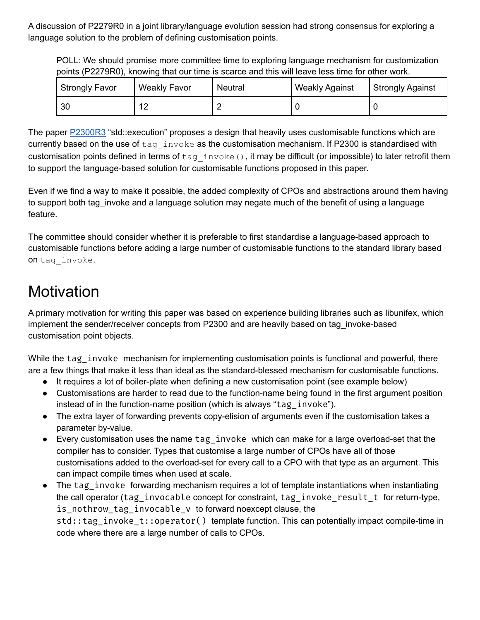A discussion of P2279R0 in a joint library/language evolution session had strong consensus for exploring a language solution to the problem of defining customisation points.

POLL: We should promise more committee time to exploring language mechanism for customization points (P2279R0), knowing that our time is scarce and this will leave less time for other work.

| <b>Strongly Favor</b> | <b>Weakly Favor</b> | Neutral | <b>Weakly Against</b> | Strongly Against |
|-----------------------|---------------------|---------|-----------------------|------------------|
| 30                    | $\sim$              |         |                       |                  |

The paper **[P2300R3](https://wg21.link/P2300R3)** "std::execution" proposes a design that heavily uses customisable functions which are currently based on the use of tag invoke as the customisation mechanism. If P2300 is standardised with customisation points defined in terms of  $tag$  invoke(), it may be difficult (or impossible) to later retrofit them to support the language-based solution for customisable functions proposed in this paper.

Even if we find a way to make it possible, the added complexity of CPOs and abstractions around them having to support both tag\_invoke and a language solution may negate much of the benefit of using a language feature.

The committee should consider whether it is preferable to first standardise a language-based approach to customisable functions before adding a large number of customisable functions to the standard library based on tag\_invoke.

# <span id="page-8-0"></span>**Motivation**

A primary motivation for writing this paper was based on experience building libraries such as libunifex, which implement the sender/receiver concepts from P2300 and are heavily based on tag\_invoke-based customisation point objects.

While the tag invoke mechanism for implementing customisation points is functional and powerful, there are a few things that make it less than ideal as the standard-blessed mechanism for customisable functions.

- It requires a lot of boiler-plate when defining a new customisation point (see example below)
- Customisations are harder to read due to the function-name being found in the first argument position instead of in the function-name position (which is always "tag\_invoke").
- The extra layer of forwarding prevents copy-elision of arguments even if the customisation takes a parameter by-value.
- Every customisation uses the name tag\_invoke which can make for a large overload-set that the compiler has to consider. Types that customise a large number of CPOs have all of those customisations added to the overload-set for every call to a CPO with that type as an argument. This can impact compile times when used at scale.
- The tag\_invoke forwarding mechanism requires a lot of template instantiations when instantiating the call operator (tag\_invocable concept for constraint, tag\_invoke\_result\_t\_for return-type, is nothrow tag invocable v to forward noexcept clause, the std::tag\_invoke\_t::operator() template function. This can potentially impact compile-time in code where there are a large number of calls to CPOs.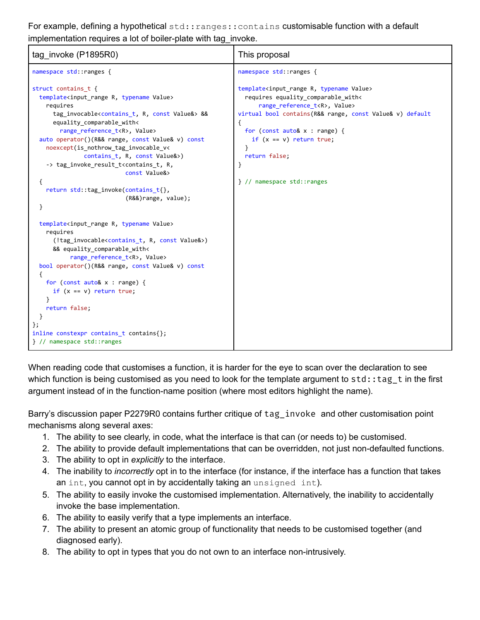For example, defining a hypothetical std:: ranges:: contains customisable function with a default implementation requires a lot of boiler-plate with tag\_invoke.

| tag_invoke (P1895R0)                                                                                                                                                                                                                                                                                                                                                                                                                                                                                                                                                                                                                                                                                                                                                                                                                                                                                                                                                                                                                                                                                                                      | This proposal                                                                                                                                                                                                                                                                                                                                                                |  |
|-------------------------------------------------------------------------------------------------------------------------------------------------------------------------------------------------------------------------------------------------------------------------------------------------------------------------------------------------------------------------------------------------------------------------------------------------------------------------------------------------------------------------------------------------------------------------------------------------------------------------------------------------------------------------------------------------------------------------------------------------------------------------------------------------------------------------------------------------------------------------------------------------------------------------------------------------------------------------------------------------------------------------------------------------------------------------------------------------------------------------------------------|------------------------------------------------------------------------------------------------------------------------------------------------------------------------------------------------------------------------------------------------------------------------------------------------------------------------------------------------------------------------------|--|
| namespace std::ranges {                                                                                                                                                                                                                                                                                                                                                                                                                                                                                                                                                                                                                                                                                                                                                                                                                                                                                                                                                                                                                                                                                                                   | namespace std::ranges {                                                                                                                                                                                                                                                                                                                                                      |  |
| struct contains t {<br>template <input r,="" range="" typename="" value=""/><br>requires<br>tag_invocable <contains_t, const="" r,="" value&=""> &amp;&amp;<br/>equality_comparable_with&lt;<br/>range reference t<r>, Value&gt;<br/>auto operator()(R&amp;&amp; range, const Value&amp; v) const<br/>noexcept(is_nothrow_tag_invocable_v&lt;<br/>contains_t, R, const Value&amp;&gt;)<br/>-&gt; tag_invoke_result_t<contains_t, r,<br="">const Value&amp;&gt;<br/>€<br/>return std::tag_invoke(contains_t{},<br/><math>(R&amp;&amp;)</math>range, value);<br/>}<br/>template<input_range r,="" typename="" value=""><br/>requires<br/>(!tag_invocable<contains_t, const="" r,="" value&="">)<br/>&amp;&amp; equality_comparable_with&lt;<br/>range reference t<r>, Value&gt;<br/>bool operator()(R&amp;&amp; range, const Value&amp; v) const<br/>€<br/>for (const <math>auto&amp; x : range)</math> {<br/>if <math>(x == v)</math> return true;<br/>ł<br/>return false;<br/><math>\}</math>;<br/>inline constexpr contains_t contains{};<br/>} // namespace std::ranges</r></contains_t,></input_range></contains_t,></r></contains_t,> | template <input r,="" range="" typename="" value=""/><br>requires equality comparable with<<br>range_reference_t <r>, Value&gt;<br/>virtual bool contains(R&amp;&amp; range, const Value&amp; v) default<br/>ſ<br/>for (const <math>auto&amp; x : range)</math> {<br/>if <math>(x == v)</math> return true;<br/>}<br/>return false;<br/>ł<br/>} // namespace std::ranges</r> |  |

When reading code that customises a function, it is harder for the eye to scan over the declaration to see which function is being customised as you need to look for the template argument to  $std:tag$  t in the first argument instead of in the function-name position (where most editors highlight the name).

Barry's discussion paper P2279R0 contains further critique of tag\_invoke and other customisation point mechanisms along several axes:

- 1. The ability to see clearly, in code, what the interface is that can (or needs to) be customised.
- 2. The ability to provide default implementations that can be overridden, not just non-defaulted functions.
- 3. The ability to opt in *explicitly* to the interface.
- 4. The inability to *incorrectly* opt in to the interface (for instance, if the interface has a function that takes an int, you cannot opt in by accidentally taking an unsigned int).
- 5. The ability to easily invoke the customised implementation. Alternatively, the inability to accidentally invoke the base implementation.
- 6. The ability to easily verify that a type implements an interface.
- 7. The ability to present an atomic group of functionality that needs to be customised together (and diagnosed early).
- 8. The ability to opt in types that you do not own to an interface non-intrusively.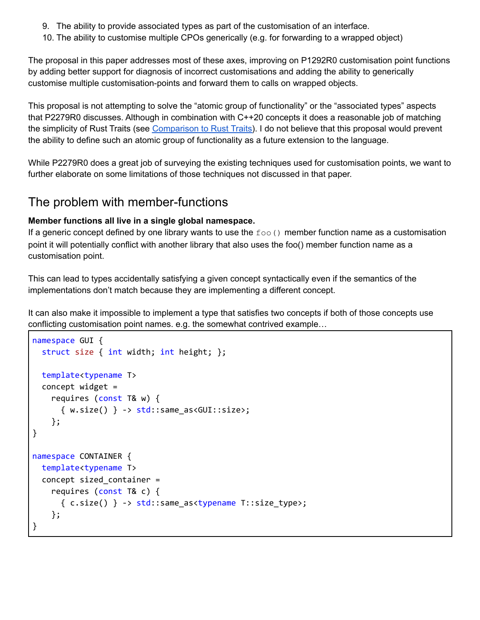- 9. The ability to provide associated types as part of the customisation of an interface.
- 10. The ability to customise multiple CPOs generically (e.g. for forwarding to a wrapped object)

The proposal in this paper addresses most of these axes, improving on P1292R0 customisation point functions by adding better support for diagnosis of incorrect customisations and adding the ability to generically customise multiple customisation-points and forward them to calls on wrapped objects.

This proposal is not attempting to solve the "atomic group of functionality" or the "associated types" aspects that P2279R0 discusses. Although in combination with C++20 concepts it does a reasonable job of matching the simplicity of Rust Traits (see Comparison to Rust Traits). I do not believe that this proposal would prevent the ability to define such an atomic group of functionality as a future extension to the language.

While P2279R0 does a great job of surveying the existing techniques used for customisation points, we want to further elaborate on some limitations of those techniques not discussed in that paper.

### <span id="page-10-0"></span>The problem with member-functions

#### **Member functions all live in a single global namespace.**

If a generic concept defined by one library wants to use the  $f \circ \circ$  () member function name as a customisation point it will potentially conflict with another library that also uses the foo() member function name as a customisation point.

This can lead to types accidentally satisfying a given concept syntactically even if the semantics of the implementations don't match because they are implementing a different concept.

It can also make it impossible to implement a type that satisfies two concepts if both of those concepts use conflicting customisation point names. e.g. the somewhat contrived example…

```
namespace GUI {
  struct size { int width; int height; };
  template<typename T>
  concept widget =
    requires (const T& w) {
      \{ w.size() \} \rightarrow std::same_as< GUI::size;};
}
namespace CONTAINER {
 template<typename T>
  concept sized_container =
    requires (const T& c) {
      { c.size() } -> std::same_as<typename T::size_type>;
    };
}
```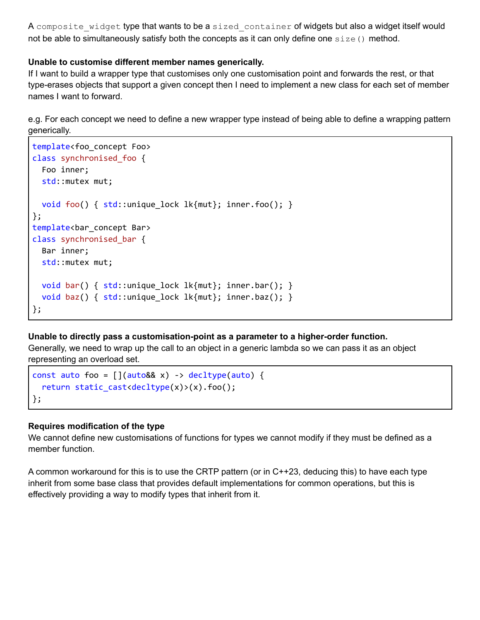A composite widget type that wants to be a sized container of widgets but also a widget itself would not be able to simultaneously satisfy both the concepts as it can only define one  $size()$  method.

#### **Unable to customise different member names generically.**

If I want to build a wrapper type that customises only one customisation point and forwards the rest, or that type-erases objects that support a given concept then I need to implement a new class for each set of member names I want to forward.

e.g. For each concept we need to define a new wrapper type instead of being able to define a wrapping pattern generically.

```
template<foo_concept Foo>
class synchronised_foo {
  Foo inner;
  std::mutex mut;
  void foo() { std::unique_lock lk{mut}; inner.foo(); }
};
template<bar_concept Bar>
class synchronised_bar {
  Bar inner;
  std::mutex mut;
  void bar() { std::unique lock lk{mut}; inner.bar(); }
  void baz() { std::unique\_lock lk{mut}; inner.baz(); }
};
```
#### **Unable to directly pass a customisation-point as a parameter to a higher-order function.**

Generally, we need to wrap up the call to an object in a generic lambda so we can pass it as an object representing an overload set.

```
const auto foo = \left[\right](auto&& x) -> decltype(auto) {
  return static_cast<decltype(x)>(x).foo();
};
```
#### **Requires modification of the type**

We cannot define new customisations of functions for types we cannot modify if they must be defined as a member function.

A common workaround for this is to use the CRTP pattern (or in C++23, deducing this) to have each type inherit from some base class that provides default implementations for common operations, but this is effectively providing a way to modify types that inherit from it.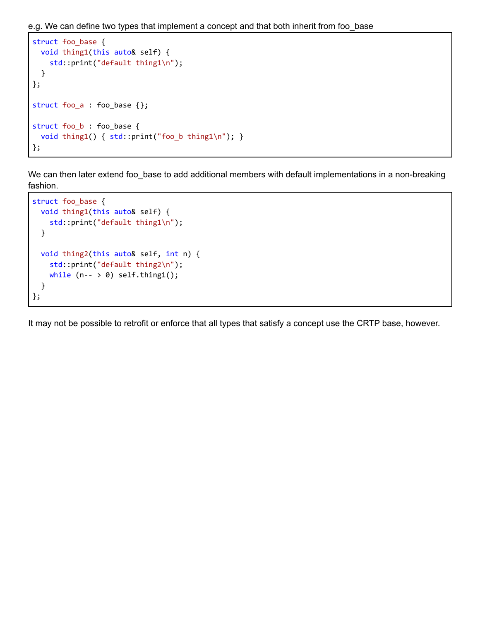e.g. We can define two types that implement a concept and that both inherit from foo\_base

```
struct foo_base {
 void thing1(this auto& self) {
    std::print("default thing1\n");
 }
};
struct foo a : foo base {};
struct foo_b : foo_base {
 void thing1() { std::print("foo_b thing1\n"); }
};
```
We can then later extend foo\_base to add additional members with default implementations in a non-breaking fashion.

```
struct foo_base {
 void thing1(this auto& self) {
    std::print("default thing1\n");
 }
 void thing2(this auto& self, int n) {
    std::print("default thing2\n");
   while (n-- > 0) self.thing1();
 }
};
```
It may not be possible to retrofit or enforce that all types that satisfy a concept use the CRTP base, however.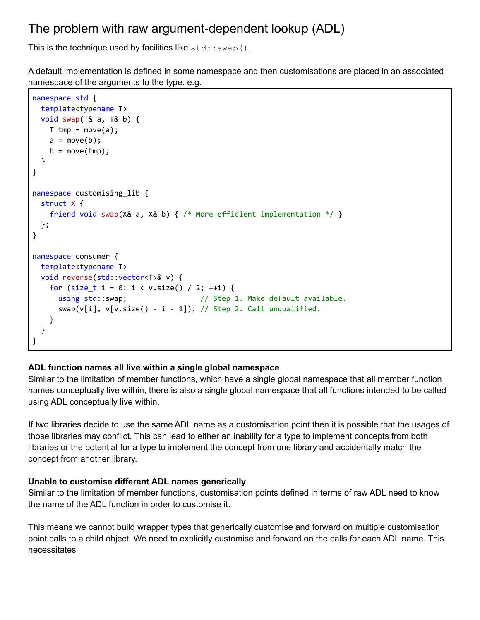## <span id="page-13-0"></span>The problem with raw argument-dependent lookup (ADL)

This is the technique used by facilities like  $std::swap()$ .

A default implementation is defined in some namespace and then customisations are placed in an associated namespace of the arguments to the type. e.g.

```
namespace std {
 template<typename T>
 void swap(T& a, T& b) {
   T tmp = move(a);
   a = move(b);b = move(tmp);}
}
namespace customising_lib {
 struct X {
   friend void swap(X& a, X& b) { /* More efficient implementation */ }
 };
}
namespace consumer {
 template<typename T>
 void reverse(std::vector<T>& v) {
   for (size_t i = 0; i < v.size() / 2; ++i) {
     using std::swap; // Step 1. Make default available.
     swap(v[i], v[v.size() - i - 1]); // Step 2. Call unqualified.}
  }
}
```
#### **ADL function names all live within a single global namespace**

Similar to the limitation of member functions, which have a single global namespace that all member function names conceptually live within, there is also a single global namespace that all functions intended to be called using ADL conceptually live within.

If two libraries decide to use the same ADL name as a customisation point then it is possible that the usages of those libraries may conflict. This can lead to either an inability for a type to implement concepts from both libraries or the potential for a type to implement the concept from one library and accidentally match the concept from another library.

#### **Unable to customise different ADL names generically**

Similar to the limitation of member functions, customisation points defined in terms of raw ADL need to know the name of the ADL function in order to customise it.

This means we cannot build wrapper types that generically customise and forward on multiple customisation point calls to a child object. We need to explicitly customise and forward on the calls for each ADL name. This necessitates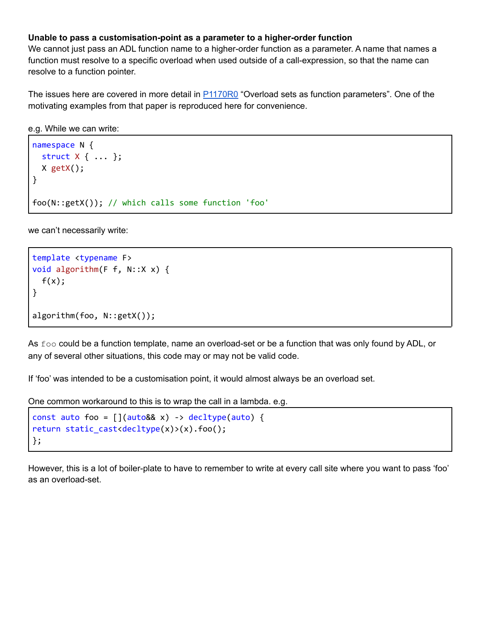#### **Unable to pass a customisation-point as a parameter to a higher-order function**

We cannot just pass an ADL function name to a higher-order function as a parameter. A name that names a function must resolve to a specific overload when used outside of a call-expression, so that the name can resolve to a function pointer.

The issues here are covered in more detail in **[P1170R0](https://wg21.link/P1170R0)** "Overload sets as function parameters". One of the motivating examples from that paper is reproduced here for convenience.

```
e.g. While we can write:
```

```
namespace N {
  struct X { ... };
  X getX();
}
foo(N::getX()); // which calls some function 'foo'
```
we can't necessarily write:

```
template <typename F>
void algorithm(F f, N::X x) {
 f(x);
}
algorithm(foo, N::getX());
```
As foo could be a function template, name an overload-set or be a function that was only found by ADL, or any of several other situations, this code may or may not be valid code.

If 'foo' was intended to be a customisation point, it would almost always be an overload set.

One common workaround to this is to wrap the call in a lambda. e.g.

```
const auto foo = [](auto&& x) -> decltype(auto) {
return static_cast<decltype(x)>(x).foo();
};
```
However, this is a lot of boiler-plate to have to remember to write at every call site where you want to pass 'foo' as an overload-set.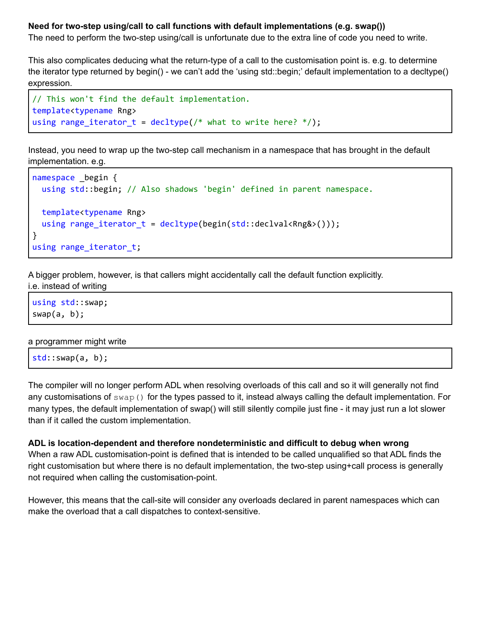#### **Need for two-step using/call to call functions with default implementations (e.g. swap())**

The need to perform the two-step using/call is unfortunate due to the extra line of code you need to write.

This also complicates deducing what the return-type of a call to the customisation point is. e.g. to determine the iterator type returned by begin() - we can't add the 'using std::begin;' default implementation to a decltype() expression.

```
// This won't find the default implementation.
template<typename Rng>
using range iterator t = decltype(/* what to write here? */);
```
Instead, you need to wrap up the two-step call mechanism in a namespace that has brought in the default implementation. e.g.

```
namespace _begin {
  using std::begin; // Also shadows 'begin' defined in parent namespace.
  template<typename Rng>
  using range_iterator_t = decltype(begin(std::declval<Rng&>()));
}
using range_iterator_t;
```
A bigger problem, however, is that callers might accidentally call the default function explicitly.

i.e. instead of writing

using std::swap; swap(a, b);

#### a programmer might write

| $\mathsf{std::swap(a, b)}$ |  |  |  |  |
|----------------------------|--|--|--|--|
|----------------------------|--|--|--|--|

The compiler will no longer perform ADL when resolving overloads of this call and so it will generally not find any customisations of  $swap()$  for the types passed to it, instead always calling the default implementation. For many types, the default implementation of swap() will still silently compile just fine - it may just run a lot slower than if it called the custom implementation.

#### **ADL is location-dependent and therefore nondeterministic and difficult to debug when wrong**

When a raw ADL customisation-point is defined that is intended to be called unqualified so that ADL finds the right customisation but where there is no default implementation, the two-step using+call process is generally not required when calling the customisation-point.

However, this means that the call-site will consider any overloads declared in parent namespaces which can make the overload that a call dispatches to context-sensitive.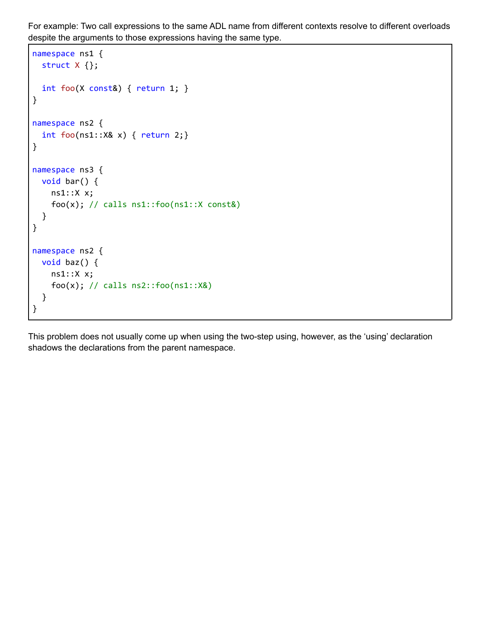For example: Two call expressions to the same ADL name from different contexts resolve to different overloads despite the arguments to those expressions having the same type.

```
namespace ns1 {
  struct X {};
  int foo(X const&) { return 1; }
}
namespace ns2 {
  int foo(ns1::X& x) { return 2;}
}
namespace ns3 {
 void bar() {
    ns1::X x;
    foo(x); // calls ns1::foo(ns1::X const&)
  }
}
namespace ns2 {
 void baz() {
   ns1::X x;
    foo(x); // calls ns2::foo(ns1::X&)}
}
```
This problem does not usually come up when using the two-step using, however, as the 'using' declaration shadows the declarations from the parent namespace.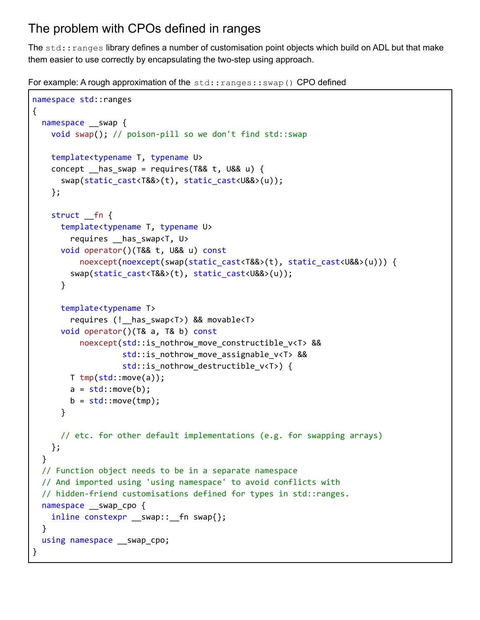## <span id="page-17-0"></span>The problem with CPOs defined in ranges

The std:: ranges library defines a number of customisation point objects which build on ADL but that make them easier to use correctly by encapsulating the two-step using approach.

For example: A rough approximation of the std:: ranges:: swap() CPO defined

```
namespace std::ranges
{
  namespace __swap {
    void swap(); // poison-pill so we don't find std::swap
    template<typename T, typename U>
    concept has_swap = requires(T&& t, U&& u) {
      swap(static_cast<T&&>(t), static_cast<U&&>(u));
    };
    struct __fn {
      template<typename T, typename U>
        requires __has_swap<T, U>
      void operator()(T&& t, U&& u) const
          noexcept(noexcept(swap(static_cast<T&&>(t), static_cast<U&&>(u))) {
        swap(static_cast<T&&>(t), static_cast<U&&>(u));
      }
      template<typename T>
        requires (!__has_swap<T>) && movable<T>
      void operator()(T& a, T& b) const
          noexcept(std::is_nothrow_move_constructible_v<T> &&
                   std::is_nothrow_move_assignable_v<T> &&
                   std:: is nothrow destructible v<T>) {
       T tmp(std::move(a));
       a = std::move(b);b = std::move(tmp);}
      // etc. for other default implementations (e.g. for swapping arrays)
    };
  }
  // Function object needs to be in a separate namespace
  // And imported using 'using namespace' to avoid conflicts with
  // hidden-friend customisations defined for types in std::ranges.
  namespace swap cpo {
    inline constexpr __ swap::__ fn swap{};
  }
  using namespace __swap_cpo;
}
```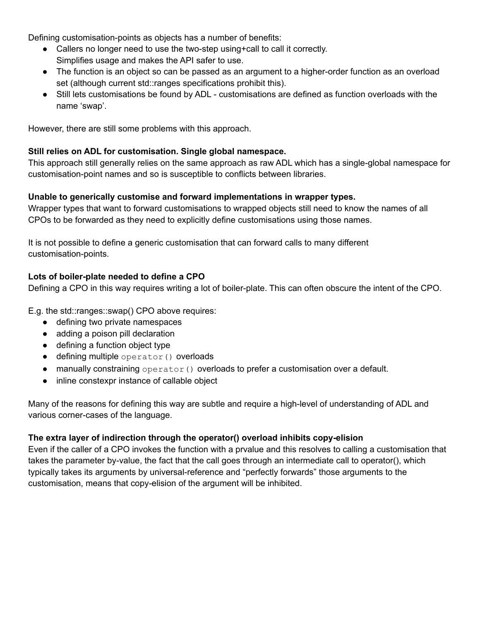Defining customisation-points as objects has a number of benefits:

- Callers no longer need to use the two-step using+call to call it correctly. Simplifies usage and makes the API safer to use.
- The function is an object so can be passed as an argument to a higher-order function as an overload set (although current std::ranges specifications prohibit this).
- Still lets customisations be found by ADL customisations are defined as function overloads with the name 'swap'.

However, there are still some problems with this approach.

#### **Still relies on ADL for customisation. Single global namespace.**

This approach still generally relies on the same approach as raw ADL which has a single-global namespace for customisation-point names and so is susceptible to conflicts between libraries.

#### **Unable to generically customise and forward implementations in wrapper types.**

Wrapper types that want to forward customisations to wrapped objects still need to know the names of all CPOs to be forwarded as they need to explicitly define customisations using those names.

It is not possible to define a generic customisation that can forward calls to many different customisation-points.

#### **Lots of boiler-plate needed to define a CPO**

Defining a CPO in this way requires writing a lot of boiler-plate. This can often obscure the intent of the CPO.

E.g. the std::ranges::swap() CPO above requires:

- defining two private namespaces
- adding a poison pill declaration
- defining a function object type
- defining multiple operator() overloads
- $\bullet$  manually constraining operator () overloads to prefer a customisation over a default.
- inline constexpr instance of callable object

Many of the reasons for defining this way are subtle and require a high-level of understanding of ADL and various corner-cases of the language.

#### **The extra layer of indirection through the operator() overload inhibits copy-elision**

Even if the caller of a CPO invokes the function with a prvalue and this resolves to calling a customisation that takes the parameter by-value, the fact that the call goes through an intermediate call to operator(), which typically takes its arguments by universal-reference and "perfectly forwards" those arguments to the customisation, means that copy-elision of the argument will be inhibited.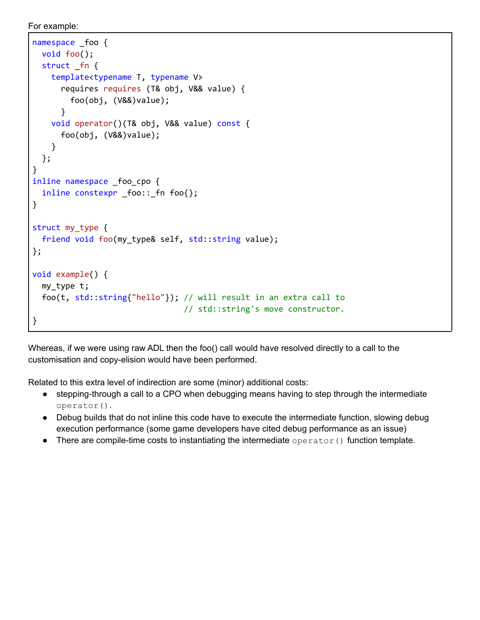For example:

```
namespace _foo {
  void foo();
  struct fn {
    template<typename T, typename V>
      requires requires (T& obj, V&& value) {
        foo(obj, (V&&)value);
      }
    void operator()(T& obj, V&& value) const {
      foo(obj, (V&&)value);
    }
  };
}
inline namespace _foo_cpo {
  inline constexpr _foo::_fn foo{};
}
struct my_type {
  friend void foo(my_type& self, std::string value);
};
void example() {
 my_type t;
  foo(t, std::string{"hello"}); // will result in an extra call to
                                // std::string's move constructor.
}
```
Whereas, if we were using raw ADL then the foo() call would have resolved directly to a call to the customisation and copy-elision would have been performed.

Related to this extra level of indirection are some (minor) additional costs:

- stepping-through a call to a CPO when debugging means having to step through the intermediate operator().
- Debug builds that do not inline this code have to execute the intermediate function, slowing debug execution performance (some game developers have cited debug performance as an issue)
- There are compile-time costs to instantiating the intermediate operator() function template.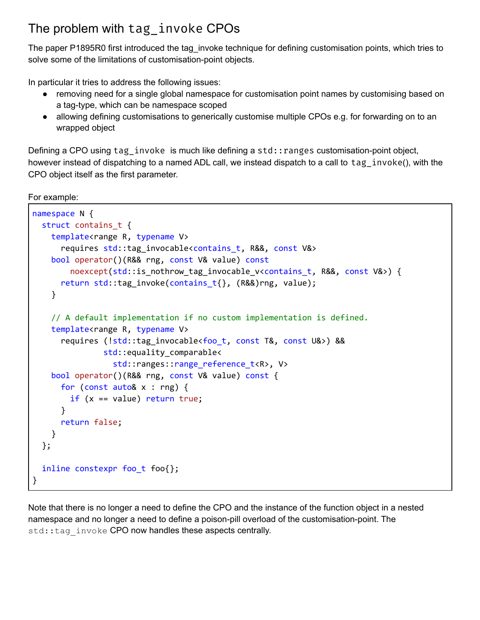## <span id="page-20-0"></span>The problem with tag\_invoke CPOs

The paper P1895R0 first introduced the tag invoke technique for defining customisation points, which tries to solve some of the limitations of customisation-point objects.

In particular it tries to address the following issues:

- removing need for a single global namespace for customisation point names by customising based on a tag-type, which can be namespace scoped
- allowing defining customisations to generically customise multiple CPOs e.g. for forwarding on to an wrapped object

Defining a CPO using tag\_invoke is much like defining a std:: ranges customisation-point object, however instead of dispatching to a named ADL call, we instead dispatch to a call to tag\_invoke(), with the CPO object itself as the first parameter.

For example:

```
namespace N {
  struct contains_t {
    template<range R, typename V>
      requires std::tag_invocable<contains_t, R&&, const V&>
    bool operator()(R&& rng, const V& value) const
        noexcept(std::is_nothrow_tag_invocable_v<contains_t, R&&, const V&>) {
      return std::tag_invoke(contains_t{}, (R&&)rng, value);
    }
    // A default implementation if no custom implementation is defined.
    template<range R, typename V>
      requires (!std::tag_invocable<foo_t, const T&, const U&>) &&
               std::equality_comparable<
                 std::ranges::range_reference_t<R>, V>
    bool operator()(R&& rng, const V& value) const {
      for (const auto& x : rng) {
        if (x == value) return true;
      }
      return false;
    }
  };
  inline constexpr foo_t foo{};
}
```
Note that there is no longer a need to define the CPO and the instance of the function object in a nested namespace and no longer a need to define a poison-pill overload of the customisation-point. The std::tag\_invoke CPO now handles these aspects centrally.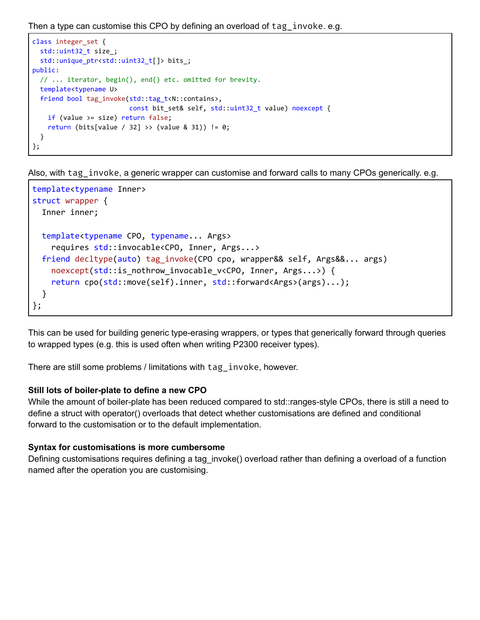Then a type can customise this CPO by defining an overload of tag invoke. e.g.

```
class integer_set {
  std::uint32_t size_;
  std::unique_ptr<std::uint32_t[]> bits_;
public:
  // ... iterator, begin(), end() etc. omitted for brevity.
  template<typename U>
  friend bool tag_invoke(std::tag_t<N::contains>,
                         const bit set& self, std::uint32 t value) noexcept {
    if (value >= size) return false;
    return (bits[value / 32] >> (value & 31)) != 0;}
};
```
Also, with tag invoke, a generic wrapper can customise and forward calls to many CPOs generically. e.g.

```
template<typename Inner>
struct wrapper {
  Inner inner;
  template<typename CPO, typename... Args>
    requires std::invocable<CPO, Inner, Args...>
  friend decltype(auto) tag_invoke(CPO cpo, wrapper&& self, Args&&... args)
    noexcept(std::is_nothrow_invocable_v<CPO, Inner, Args...>) {
    return cpo(std::move(self).inner, std::forward<Args>(args)...);
  }
};
```
This can be used for building generic type-erasing wrappers, or types that generically forward through queries to wrapped types (e.g. this is used often when writing P2300 receiver types).

There are still some problems / limitations with tag invoke, however.

#### **Still lots of boiler-plate to define a new CPO**

While the amount of boiler-plate has been reduced compared to std::ranges-style CPOs, there is still a need to define a struct with operator() overloads that detect whether customisations are defined and conditional forward to the customisation or to the default implementation.

#### **Syntax for customisations is more cumbersome**

Defining customisations requires defining a tag\_invoke() overload rather than defining a overload of a function named after the operation you are customising.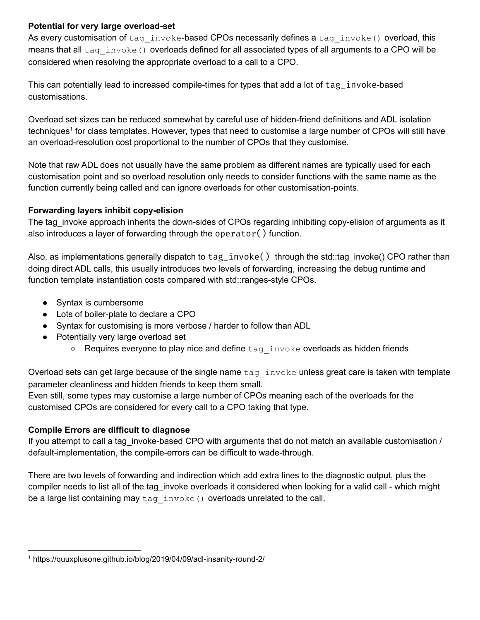#### **Potential for very large overload-set**

As every customisation of  $tag$  invoke-based CPOs necessarily defines a  $tag$  invoke() overload, this means that all tag invoke() overloads defined for all associated types of all arguments to a CPO will be considered when resolving the appropriate overload to a call to a CPO.

This can potentially lead to increased compile-times for types that add a lot of tag\_invoke-based customisations.

Overload set sizes can be reduced somewhat by careful use of hidden-friend definitions and ADL isolation techniques<sup>1</sup> for class templates. However, types that need to customise a large number of CPOs will still have an overload-resolution cost proportional to the number of CPOs that they customise.

Note that raw ADL does not usually have the same problem as different names are typically used for each customisation point and so overload resolution only needs to consider functions with the same name as the function currently being called and can ignore overloads for other customisation-points.

#### **Forwarding layers inhibit copy-elision**

The tag invoke approach inherits the down-sides of CPOs regarding inhibiting copy-elision of arguments as it also introduces a layer of forwarding through the operator() function.

Also, as implementations generally dispatch to tag\_invoke() through the std::tag\_invoke() CPO rather than doing direct ADL calls, this usually introduces two levels of forwarding, increasing the debug runtime and function template instantiation costs compared with std::ranges-style CPOs.

- Syntax is cumbersome
- Lots of boiler-plate to declare a CPO
- Syntax for customising is more verbose / harder to follow than ADL
- Potentially very large overload set
	- Requires everyone to play nice and define tag invoke overloads as hidden friends

Overload sets can get large because of the single name  $tag$  invoke unless great care is taken with template parameter cleanliness and hidden friends to keep them small.

Even still, some types may customise a large number of CPOs meaning each of the overloads for the customised CPOs are considered for every call to a CPO taking that type.

#### **Compile Errors are difficult to diagnose**

If you attempt to call a tag invoke-based CPO with arguments that do not match an available customisation / default-implementation, the compile-errors can be difficult to wade-through.

There are two levels of forwarding and indirection which add extra lines to the diagnostic output, plus the compiler needs to list all of the tag\_invoke overloads it considered when looking for a valid call - which might be a large list containing may  $tag$  invoke() overloads unrelated to the call.

<sup>1</sup> https://quuxplusone.github.io/blog/2019/04/09/adl-insanity-round-2/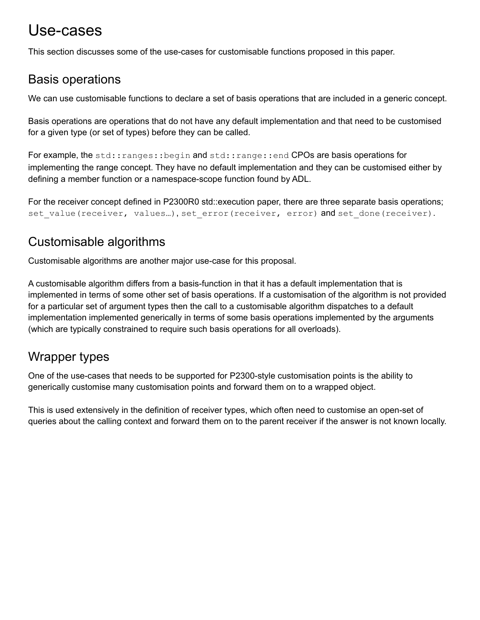## <span id="page-23-0"></span>Use-cases

<span id="page-23-1"></span>This section discusses some of the use-cases for customisable functions proposed in this paper.

### Basis operations

We can use customisable functions to declare a set of basis operations that are included in a generic concept.

Basis operations are operations that do not have any default implementation and that need to be customised for a given type (or set of types) before they can be called.

For example, the std::ranges::begin and std::range::end CPOs are basis operations for implementing the range concept. They have no default implementation and they can be customised either by defining a member function or a namespace-scope function found by ADL.

For the receiver concept defined in P2300R0 std::execution paper, there are three separate basis operations; set\_value(receiver, values...), set\_error(receiver, error) and set done(receiver).

## <span id="page-23-2"></span>Customisable algorithms

Customisable algorithms are another major use-case for this proposal.

A customisable algorithm differs from a basis-function in that it has a default implementation that is implemented in terms of some other set of basis operations. If a customisation of the algorithm is not provided for a particular set of argument types then the call to a customisable algorithm dispatches to a default implementation implemented generically in terms of some basis operations implemented by the arguments (which are typically constrained to require such basis operations for all overloads).

## <span id="page-23-3"></span>Wrapper types

One of the use-cases that needs to be supported for P2300-style customisation points is the ability to generically customise many customisation points and forward them on to a wrapped object.

This is used extensively in the definition of receiver types, which often need to customise an open-set of queries about the calling context and forward them on to the parent receiver if the answer is not known locally.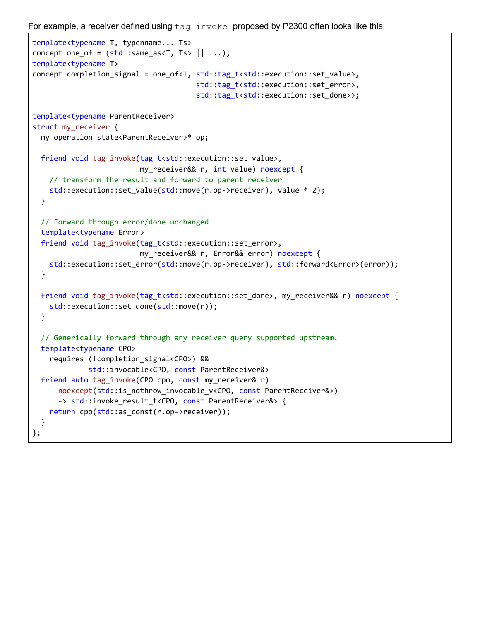For example, a receiver defined using  $tan$  invoke proposed by P2300 often looks like this:

```
template<typename T, typenname... Ts>
concept one_of = (std::same\_as < T, Ts > || ...);template<typename T>
concept completion_signal = one_of<T, std::tag_t<std::execution::set_value>,
                                      std::tag_t<std::execution::set_error>,
                                      std::tag_t<std::execution::set_done>>;
template<typename ParentReceiver>
struct my_receiver {
 my_operation_state<ParentReceiver>* op;
 friend void tag_invoke(tag_t<std::execution::set_value>,
                         my_receiver&& r, int value) noexcept {
    // transform the result and forward to parent receiver
    std::execution::set value(std::move(r.op->receiver), value * 2);
 }
 // Forward through error/done unchanged
 template<typename Error>
  friend void tag_invoke(tag_t<std::execution::set_error>,
                         my_receiver&& r, Error&& error) noexcept {
   std::execution::set_error(std::move(r.op->receiver), std::forward<Error>(error));
 }
 friend void tag_invoke(tag_t<std::execution::set_done>, my_receiver&& r) noexcept {
    std::execution::set_done(std::move(r));
 }
 // Generically forward through any receiver query supported upstream.
 template<typename CPO>
    requires (!completion_signal<CPO>) &&
             std::invocable<CPO, const ParentReceiver&>
 friend auto tag_invoke(CPO cpo, const my_receiver& r)
      noexcept(std::is_nothrow_invocable_v<CPO, const ParentReceiver&>)
      -> std::invoke result t<CPO, const ParentReceiver&> {
    return cpo(std::as_const(r.op->receiver));
  }
};
```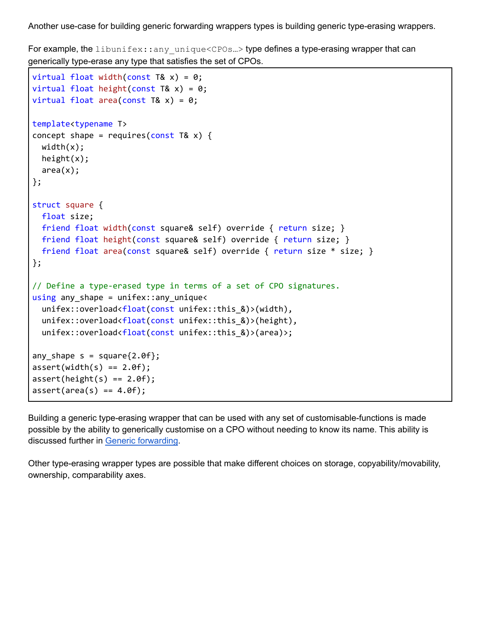Another use-case for building generic forwarding wrappers types is building generic type-erasing wrappers.

For example, the libunifex::any unique<CPOs...> type defines a type-erasing wrapper that can generically type-erase any type that satisfies the set of CPOs.

```
virtual float width(const T& x) = 0;
virtual float height(const T& x) = 0;
virtual float area(const T& x) = 0;
template<typename T>
concept shape = requires(const T& x) {
 width(x);height(x);
 area(x);};
struct square {
 float size;
 friend float width(const square& self) override { return size; }
 friend float height(const square& self) override { return size; }
 friend float area(const square& self) override { return size * size; }
};
// Define a type-erased type in terms of a set of CPO signatures.
using any shape = unifex:: any unique<
  unifex::overload<float(const unifex::this &)>(width),
  unifex::overload<float(const unifex::this_&)>(height),
  unifex::overload<float(const unifex::this_&)>(area)>;
any shape s = square{2.0f};
assert(width(s) == 2.0f);assert(height(s) == 2.0f);assert(area(s) == 4.0f);
```
Building a generic type-erasing wrapper that can be used with any set of customisable-functions is made possible by the ability to generically customise on a CPO without needing to know its name. This ability is discussed further in Generic [forwarding](#page-38-0).

Other type-erasing wrapper types are possible that make different choices on storage, copyability/movability, ownership, comparability axes.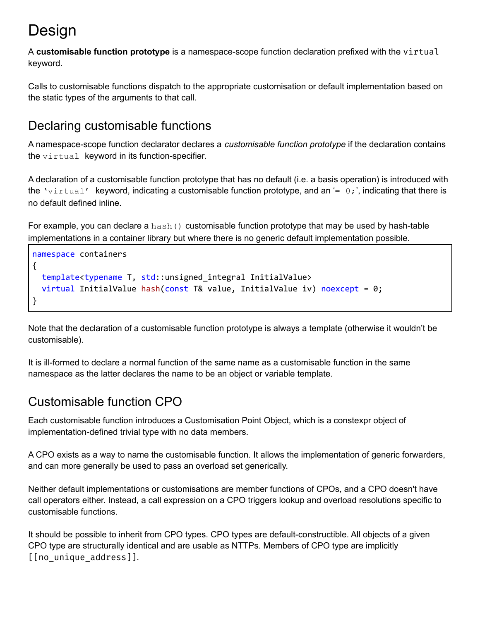# <span id="page-26-0"></span>**Design**

A **customisable function prototype** is a namespace-scope function declaration prefixed with the virtual keyword.

Calls to customisable functions dispatch to the appropriate customisation or default implementation based on the static types of the arguments to that call.

## <span id="page-26-1"></span>Declaring customisable functions

A namespace-scope function declarator declares a *customisable function prototype* if the declaration contains the  $virtual$  keyword in its function-specifier.

A declaration of a customisable function prototype that has no default (i.e. a basis operation) is introduced with the 'virtual' keyword, indicating a customisable function prototype, and an  $= 0;$ ', indicating that there is no default defined inline.

For example, you can declare a hash() customisable function prototype that may be used by hash-table implementations in a container library but where there is no generic default implementation possible.

```
namespace containers
{
  template<typename T, std::unsigned integral InitialValue>
  virtual InitialValue hash(const T& value, InitialValue iv) noexcept = 0;}
```
Note that the declaration of a customisable function prototype is always a template (otherwise it wouldn't be customisable).

It is ill-formed to declare a normal function of the same name as a customisable function in the same namespace as the latter declares the name to be an object or variable template.

## <span id="page-26-2"></span>Customisable function CPO

Each customisable function introduces a Customisation Point Object, which is a constexpr object of implementation-defined trivial type with no data members.

A CPO exists as a way to name the customisable function. It allows the implementation of generic forwarders, and can more generally be used to pass an overload set generically.

Neither default implementations or customisations are member functions of CPOs, and a CPO doesn't have call operators either. Instead, a call expression on a CPO triggers lookup and overload resolutions specific to customisable functions.

It should be possible to inherit from CPO types. CPO types are default-constructible. All objects of a given CPO type are structurally identical and are usable as NTTPs. Members of CPO type are implicitly [[no\_unique\_address]].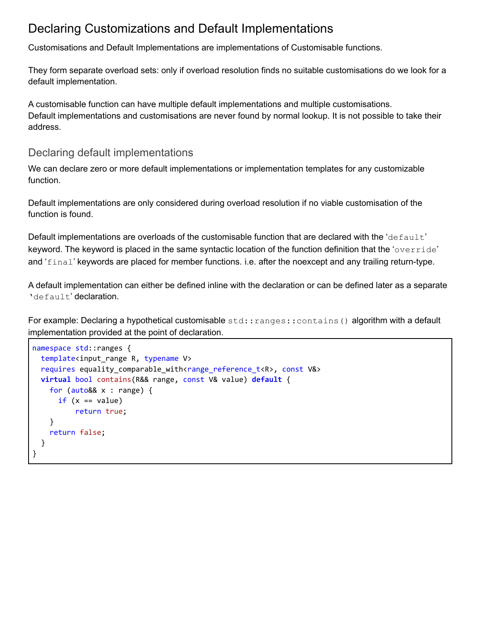### <span id="page-27-0"></span>Declaring Customizations and Default Implementations

Customisations and Default Implementations are implementations of Customisable functions.

They form separate overload sets: only if overload resolution finds no suitable customisations do we look for a default implementation.

A customisable function can have multiple default implementations and multiple customisations. Default implementations and customisations are never found by normal lookup. It is not possible to take their address.

### <span id="page-27-1"></span>Declaring default implementations

We can declare zero or more default implementations or implementation templates for any customizable function.

Default implementations are only considered during overload resolution if no viable customisation of the function is found.

Default implementations are overloads of the customisable function that are declared with the 'default' keyword. The keyword is placed in the same syntactic location of the function definition that the 'override' and 'final' keywords are placed for member functions. i.e. after the noexcept and any trailing return-type.

A default implementation can either be defined inline with the declaration or can be defined later as a separate 'default' declaration.

For example: Declaring a hypothetical customisable std:: ranges:: contains() algorithm with a default implementation provided at the point of declaration.

```
namespace std::ranges {
 template<input_range R, typename V>
  requires equality_comparable_with<range_reference_t<R>, const V&>
 virtual bool contains(R&& range, const V& value) default {
    for (auto&& x : range) {
      if (x == value)return true;
    }
    return false;
  }
}
```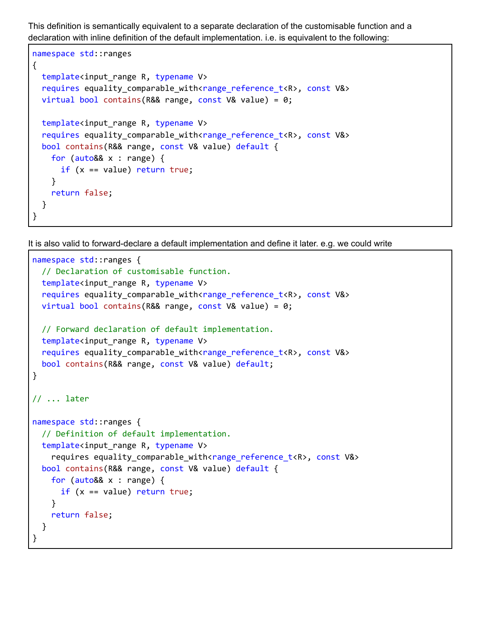This definition is semantically equivalent to a separate declaration of the customisable function and a declaration with inline definition of the default implementation. i.e. is equivalent to the following:

```
namespace std::ranges
{
  template<input_range R, typename V>
  requires equality comparable with<range reference t<R>, const V&>
  virtual bool contains(R&& range, const V& value) = 0;template<input_range R, typename V>
  requires equality comparable with<range_reference_t<R>, const V&>
  bool contains(R&& range, const V& value) default {
    for (auto&& x : range) {
      if (x == value) return true;
    }
    return false;
  }
}
```
It is also valid to forward-declare a default implementation and define it later. e.g. we could write

```
namespace std::ranges {
  // Declaration of customisable function.
  template<input_range R, typename V>
  requires equality comparable with<range_reference_t<R>, const V&>
  virtual bool contains(R&& range, const V& value) = 0;
  // Forward declaration of default implementation.
  template<input range R, typename V>
  requires equality_comparable_with<range_reference_t<R>, const V&>
  bool contains(R&& range, const V& value) default;
}
// ... later
namespace std::ranges {
  // Definition of default implementation.
  template<input_range R, typename V>
    requires equality_comparable_with<range_reference_t<R>, const V&>
  bool contains(R&& range, const V& value) default {
    for (auto&& x : range) {
      if (x == value) return true;
    }
    return false;
  }
}
```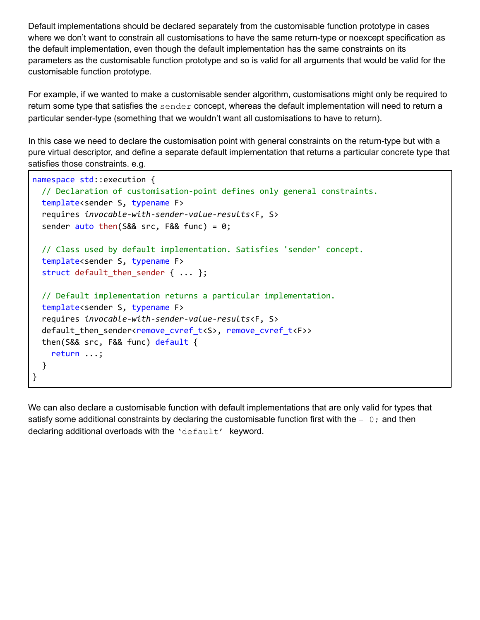Default implementations should be declared separately from the customisable function prototype in cases where we don't want to constrain all customisations to have the same return-type or noexcept specification as the default implementation, even though the default implementation has the same constraints on its parameters as the customisable function prototype and so is valid for all arguments that would be valid for the customisable function prototype.

For example, if we wanted to make a customisable sender algorithm, customisations might only be required to return some type that satisfies the sender concept, whereas the default implementation will need to return a particular sender-type (something that we wouldn't want all customisations to have to return).

In this case we need to declare the customisation point with general constraints on the return-type but with a pure virtual descriptor, and define a separate default implementation that returns a particular concrete type that satisfies those constraints. e.g.

```
namespace std::execution {
  // Declaration of customisation-point defines only general constraints.
  template<sender S, typename F>
  requires invocable-with-sender-value-results<F, S>
  sender auto then(S&8 src, F&8 func) = 0;
  // Class used by default implementation. Satisfies 'sender' concept.
  template<sender S, typename F>
  struct default_then_sender { ... };
  // Default implementation returns a particular implementation.
  template<sender S, typename F>
  requires invocable-with-sender-value-results<F, S>
  default_then_sender<remove_cvref_t<S>, remove_cvref_t<F>>
  then(S&& src, F&& func) default {
    return ...;
  }
}
```
We can also declare a customisable function with default implementations that are only valid for types that satisfy some additional constraints by declaring the customisable function first with the  $= 0;$  and then declaring additional overloads with the 'default' keyword.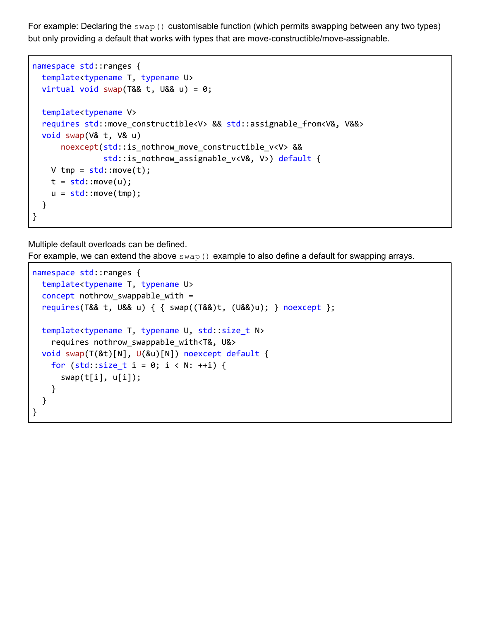For example: Declaring the swap() customisable function (which permits swapping between any two types) but only providing a default that works with types that are move-constructible/move-assignable.

```
namespace std::ranges {
  template<typename T, typename U>
  virtual void swap(T&& t, U&& u) = 0;
  template<typename V>
  requires std::move_constructible<V> && std::assignable_from<V&, V&&>
  void swap(V& t, V& u)
      noexcept(std::is nothrow move constructible v<V> &&
               std::is_nothrow_assignable_v<V&, V>) default {
   V tmp = std::move(t);t = std::move(u);u = std::move(tmp);}
}
```
Multiple default overloads can be defined.

For example, we can extend the above  $swap()$  example to also define a default for swapping arrays.

```
namespace std::ranges {
  template<typename T, typename U>
  concept nothrow_swappable_with =
  requires(T&& t, U&& u) { { swap((T&&)t, (U&&)u); } noexcept };
  template<typename T, typename U, std::size_t N>
    requires nothrow_swappable_with<T&, U&>
  void swap(T(&t)[N], U(&u)[N]) noexcept default {
    for (std::size_t i = 0; i < N: ++i) {
      swap(t[i], u[i]);
    }
  }
}
```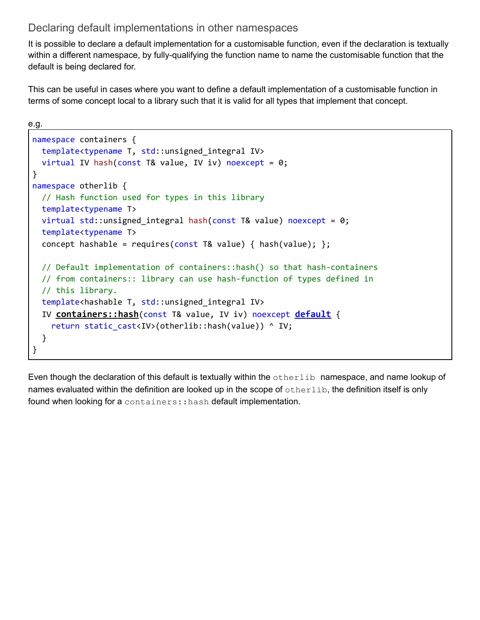### <span id="page-31-0"></span>Declaring default implementations in other namespaces

It is possible to declare a default implementation for a customisable function, even if the declaration is textually within a different namespace, by fully-qualifying the function name to name the customisable function that the default is being declared for.

This can be useful in cases where you want to define a default implementation of a customisable function in terms of some concept local to a library such that it is valid for all types that implement that concept.

```
e.g.
namespace containers {
  template<typename T, std::unsigned_integral IV>
  virtual IV hash(const T& value, IV iv) noexcept = 0;}
namespace otherlib {
  // Hash function used for types in this library
  template<typename T>
  virtual std::unsigned_integral hash(const T& value) noexcept = 0;
  template<typename T>
  concept hashable = requires(const T& value) { hash(value); };
  // Default implementation of containers::hash() so that hash-containers
  // from containers:: library can use hash-function of types defined in
  // this library.
  template<hashable T, std::unsigned_integral IV>
  IV containers::hash(const T& value, IV iv) noexcept default {
    return static cast<IV>(otherlib::hash(value)) ^ IV;
  }
}
```
Even though the declaration of this default is textually within the otherlib namespace, and name lookup of names evaluated within the definition are looked up in the scope of otherlib, the definition itself is only found when looking for a containers:: hash default implementation.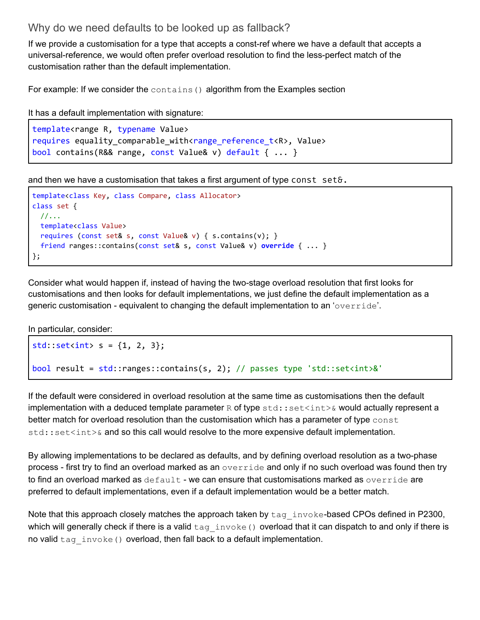### <span id="page-32-0"></span>Why do we need defaults to be looked up as fallback?

If we provide a customisation for a type that accepts a const-ref where we have a default that accepts a universal-reference, we would often prefer overload resolution to find the less-perfect match of the customisation rather than the default implementation.

For example: If we consider the contains () algorithm from the Examples section

It has a default implementation with signature:

```
template<range R, typename Value>
requires equality_comparable_with<range_reference_t<R>, Value>
bool contains(R&& range, const Value& v) default { ... }
```
and then we have a customisation that takes a first argument of type const set&.

```
template<class Key, class Compare, class Allocator>
class set {
 //...
 template<class Value>
 requires (const set& s, const Value& v) { s.contains(v); }
 friend ranges::contains(const set& s, const Value& v) override { ... }
};
```
Consider what would happen if, instead of having the two-stage overload resolution that first looks for customisations and then looks for default implementations, we just define the default implementation as a generic customisation - equivalent to changing the default implementation to an 'override'.

In particular, consider:

```
std::set<i>int</i> > s = {1, 2, 3};bool result = std::ranges::contains(s, 2); // passes type 'std::set<int>&'
```
If the default were considered in overload resolution at the same time as customisations then the default implementation with a deduced template parameter  $R$  of type  $std:set\&$  would actually represent a better match for overload resolution than the customisation which has a parameter of type  $\epsilon$ onst  $\text{std}$ :  $\text{set}\text{sint}$   $\&$  and so this call would resolve to the more expensive default implementation.

By allowing implementations to be declared as defaults, and by defining overload resolution as a two-phase process - first try to find an overload marked as an override and only if no such overload was found then try to find an overload marked as  $default$  - we can ensure that customisations marked as  $override$  are preferred to default implementations, even if a default implementation would be a better match.

Note that this approach closely matches the approach taken by  $\text{tag}$  invoke-based CPOs defined in P2300, which will generally check if there is a valid  $\text{tag}$  invoke() overload that it can dispatch to and only if there is no valid  $\text{tag}$  invoke() overload, then fall back to a default implementation.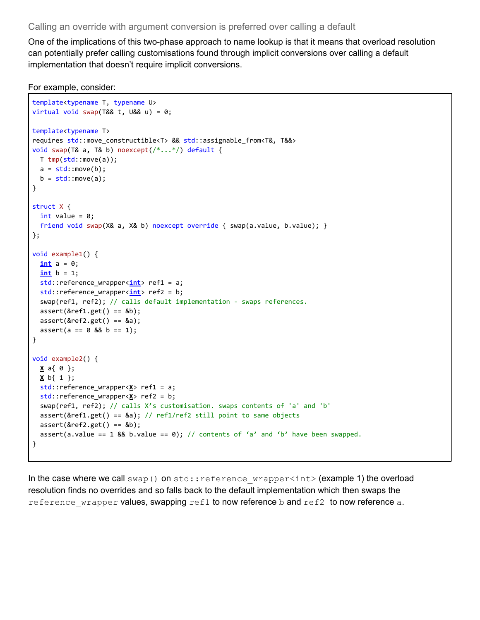#### <span id="page-33-0"></span>Calling an override with argument conversion is preferred over calling a default

One of the implications of this two-phase approach to name lookup is that it means that overload resolution can potentially prefer calling customisations found through implicit conversions over calling a default implementation that doesn't require implicit conversions.

For example, consider:

```
template<typename T, typename U>
virtual void swap(T&& t, U&& u) = 0;
template<typename T>
requires std::move_constructible<T> && std::assignable_from<T&, T&&>
void swap(T& a, T& b) noexcept(/*...*/) default {
 T tmp(std::move(a));
 a = std::move(b);b = std::move(a);}
struct X {
 int value = 0;
 friend void swap(X& a, X& b) noexcept override { swap(a.value, b.value); }
};
void example1() {
  int a = 0;
  \frac{\text{int}}{\text{int}} b = 1;
  std::reference wrapper<int> ref1 = a;
  std::reference_wrapper<int> ref2 = b;
  swap(ref1, ref2); // calls default implementation - swaps references.
 assert(\&ref1.get() == \&b);assert(8ref2.get() == 8a);assert(a == 0 & 0 & b == 1);}
void example2() {
 X a{ 0 };
 X b{ 1 };
 std::reference_wrapper<X> ref1 = a;
  std::reference wrapper<X> ref2 = b;
  swap(ref1, ref2); // calls X's customisation. swaps contents of 'a' and 'b'
  assert(&ref1.get() == &a); // ref1/ref2 still point to same objectsassert(\&ref2.get() == \&b);assert(a.value == 1 && b.value == 0); // contents of 'a' and 'b' have been swapped.
}
```
In the case where we call swap() on std::reference wrapper<int>(example 1) the overload resolution finds no overrides and so falls back to the default implementation which then swaps the reference wrapper values, swapping  $ref1$  to now reference b and ref2 to now reference a.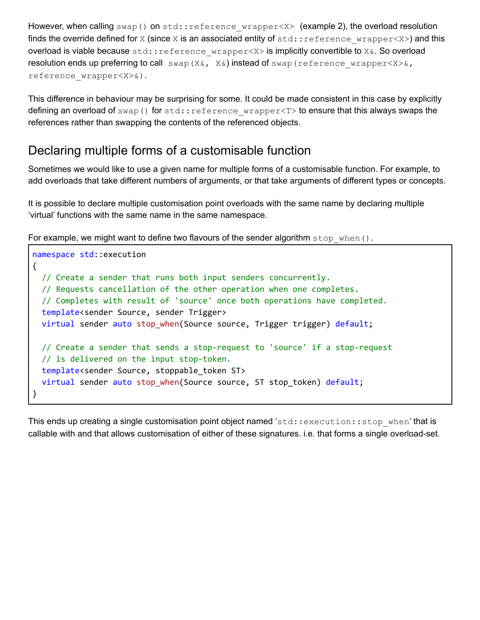However, when calling swap() on std::reference wrapper<X> (example 2), the overload resolution finds the override defined for X (since X is an associated entity of  $std::reference$  wrapper<X>) and this overload is viable because std:: reference wrapper<X> is implicitly convertible to X&. So overload resolution ends up preferring to call  $swap(X&, X&)$  instead of swap (reference wrapper< $X>&,$ reference\_wrapper<X>&).

This difference in behaviour may be surprising for some. It could be made consistent in this case by explicitly defining an overload of swap() for std::reference wrapper<T> to ensure that this always swaps the references rather than swapping the contents of the referenced objects.

### <span id="page-34-0"></span>Declaring multiple forms of a customisable function

Sometimes we would like to use a given name for multiple forms of a customisable function. For example, to add overloads that take different numbers of arguments, or that take arguments of different types or concepts.

It is possible to declare multiple customisation point overloads with the same name by declaring multiple 'virtual' functions with the same name in the same namespace.

For example, we might want to define two flavours of the sender algorithm stop when().

```
namespace std::execution
{
 // Create a sender that runs both input senders concurrently.
  // Requests cancellation of the other operation when one completes.
  // Completes with result of 'source' once both operations have completed.
  template<sender Source, sender Trigger>
  virtual sender auto stop_when(Source source, Trigger trigger) default;
  // Create a sender that sends a stop-request to 'source' if a stop-request
  // is delivered on the input stop-token.
  template<sender Source, stoppable_token ST>
  virtual sender auto stop_when(Source source, ST stop_token) default;
}
```
This ends up creating a single customisation point object named 'std::execution::stop\_when' that is callable with and that allows customisation of either of these signatures. i.e. that forms a single overload-set.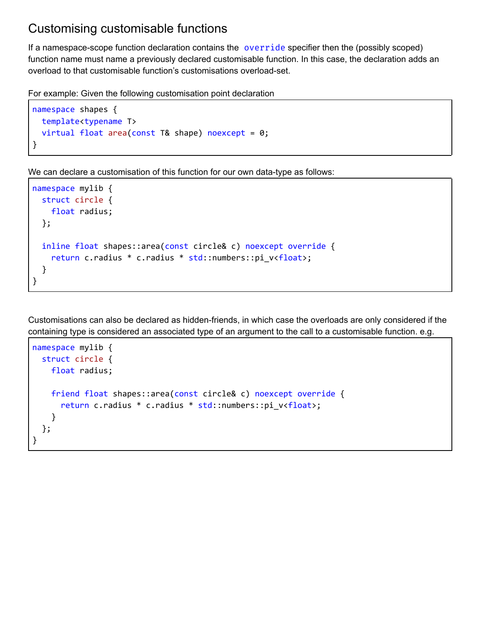### <span id="page-35-0"></span>Customising customisable functions

If a namespace-scope function declaration contains the override specifier then the (possibly scoped) function name must name a previously declared customisable function. In this case, the declaration adds an overload to that customisable function's customisations overload-set.

For example: Given the following customisation point declaration

```
namespace shapes {
 template<typename T>
  virtual float area(const T& shape) noexcept = 0;}
```
We can declare a customisation of this function for our own data-type as follows:

```
namespace mylib {
  struct circle {
   float radius;
  };
  inline float shapes::area(const circle& c) noexcept override {
    return c.radius * c.radius * std::numbers::pi_v<float>;
  }
}
```
Customisations can also be declared as hidden-friends, in which case the overloads are only considered if the containing type is considered an associated type of an argument to the call to a customisable function. e.g.

```
namespace mylib {
  struct circle {
   float radius;
    friend float shapes::area(const circle& c) noexcept override {
      return c.radius * c.radius * std::numbers::pi_v<float>;
    }
  };
}
```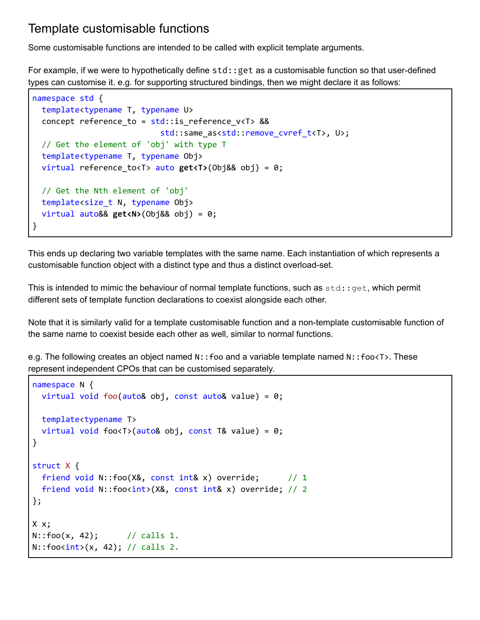### <span id="page-36-0"></span>Template customisable functions

Some customisable functions are intended to be called with explicit template arguments.

For example, if we were to hypothetically define std::get as a customisable function so that user-defined types can customise it. e.g. for supporting structured bindings, then we might declare it as follows:

```
namespace std {
  template<typename T, typename U>
  concept reference_to = std::is_reference_v<T> &&
                           std::same_as<std::remove_cvref_t<T>, U>;
  // Get the element of 'obj' with type T
  template<typename T, typename Obj>
  virtual reference_to<T> auto get<T>(Obj&& obj) = 0;
  // Get the Nth element of 'obj'
  template<size_t N, typename Obj>
  virtual auto&& get<N>(Obj&& obj) = 0;
}
```
This ends up declaring two variable templates with the same name. Each instantiation of which represents a customisable function object with a distinct type and thus a distinct overload-set.

This is intended to mimic the behaviour of normal template functions, such as  $std: qet$ , which permit different sets of template function declarations to coexist alongside each other.

Note that it is similarly valid for a template customisable function and a non-template customisable function of the same name to coexist beside each other as well, similar to normal functions.

e.g. The following creates an object named N::foo and a variable template named N::foo<T>. These represent independent CPOs that can be customised separately.

```
namespace N {
 virtual void foo(auto& obj, const auto& value) = 0;template<typename T>
  virtual void foo<T>(auto& obj, const T& value) = 0;
}
struct X {
 friend void N::foo(X&, const int& x) override; // 1
  friend void N::foo<int>(X&, const int& x) override; // 2
};
X x;
N: foo(x, 42); // calls 1.
N::footint>(x, 42); // calls 2.
```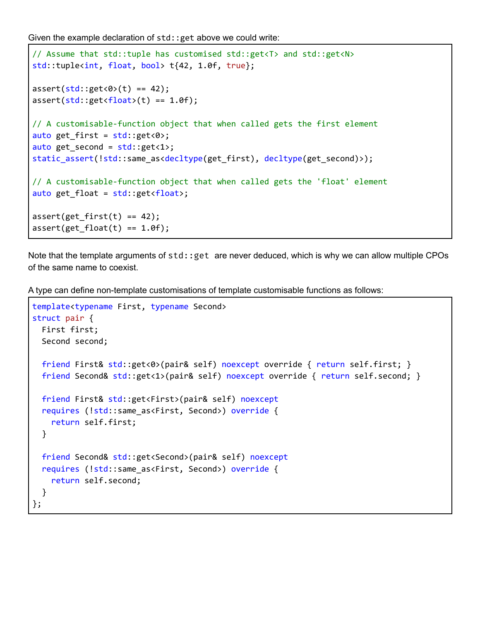Given the example declaration of  $std$ :: get above we could write:

```
// Assume that std::tuple has customised std::get<T> and std::get<N>
std::tuple<int, float, bool> t{42, 1.0f, true};
assert(std::get<0>(t)) == 42);assert(stat:get<float>(t) == 1.0f);// A customisable-function object that when called gets the first element
auto get_first = std::get<0>;
auto get_second = std::get<1>;
static_assert(!std::same_as<decltype(get_first), decltype(get_second)>);
// A customisable-function object that when called gets the 'float' element
auto get_float = std::get<float>;
assert(get first(t) == 42);assert(get_fload(t) == 1.0f);
```
Note that the template arguments of std:: get are never deduced, which is why we can allow multiple CPOs of the same name to coexist.

A type can define non-template customisations of template customisable functions as follows:

```
template<typename First, typename Second>
struct pair {
  First first;
  Second second;
  friend First& std::get<0>(pair& self) noexcept override { return self.first; }
  friend Second& std::get<1>(pair& self) noexcept override { return self.second; }
  friend First& std::get<First>(pair& self) noexcept
  requires (!std::same_as<First, Second>) override {
    return self.first;
  }
  friend Second& std::get<Second>(pair& self) noexcept
  requires (!std::same_as<First, Second>) override {
    return self.second;
  }
};
```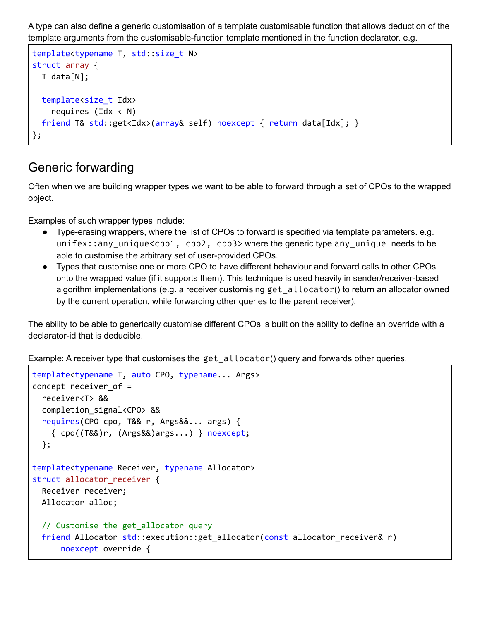A type can also define a generic customisation of a template customisable function that allows deduction of the template arguments from the customisable-function template mentioned in the function declarator. e.g.

```
template<typename T, std::size_t N>
struct array {
  T data[N];
  template<size_t Idx>
    requires (\text{Idx} < N)friend T& std::get<Idx>(array& self) noexcept { return data[Idx]; }
};
```
### <span id="page-38-0"></span>Generic forwarding

Often when we are building wrapper types we want to be able to forward through a set of CPOs to the wrapped object.

Examples of such wrapper types include:

- Type-erasing wrappers, where the list of CPOs to forward is specified via template parameters. e.g. unifex::any\_unique<cpo1, cpo2, cpo3> where the generic type any\_unique needs to be able to customise the arbitrary set of user-provided CPOs.
- Types that customise one or more CPO to have different behaviour and forward calls to other CPOs onto the wrapped value (if it supports them). This technique is used heavily in sender/receiver-based algorithm implementations (e.g. a receiver customising get\_allocator() to return an allocator owned by the current operation, while forwarding other queries to the parent receiver).

The ability to be able to generically customise different CPOs is built on the ability to define an override with a declarator-id that is deducible.

Example: A receiver type that customises the get allocator() query and forwards other queries.

```
template<typename T, auto CPO, typename... Args>
concept receiver_of =
  receiver<T> &&
  completion_signal<CPO> &&
  requires(CPO cpo, T&& r, Args&&... args) {
    { cpo((T&&)r, (Args&&)args...) } noexcept;
  };
template<typename Receiver, typename Allocator>
struct allocator_receiver {
  Receiver receiver;
  Allocator alloc;
  // Customise the get_allocator query
  friend Allocator std::execution::get_allocator(const allocator_receiver& r)
      noexcept override {
```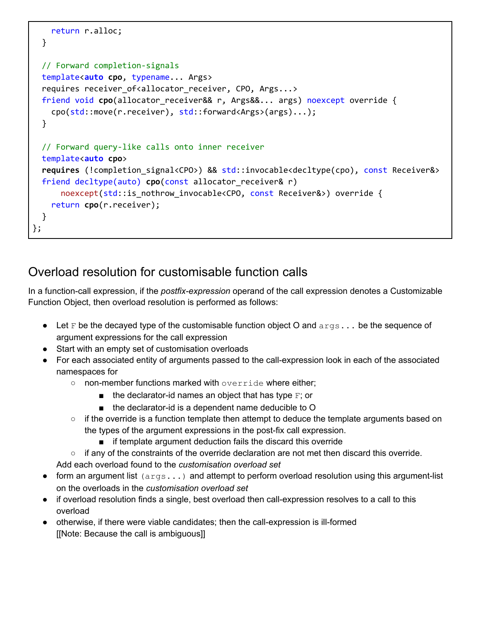```
return r.alloc;
  }
  // Forward completion-signals
  template<auto cpo, typename... Args>
  requires receiver_of<allocator_receiver, CPO, Args...>
  friend void cpo(allocator_receiver&& r, Args&&... args) noexcept override {
    cpo(std::move(r.receiver), std::forward<Args>(args)...);
  }
  // Forward query-like calls onto inner receiver
  template<auto cpo>
  requires (!completion signal<CPO>) && std::invocable<decltype(cpo), const Receiver&>
  friend decltype(auto) cpo(const allocator receiver& r)
      noexcept(std::is_nothrow_invocable<CPO, const Receiver&>) override {
    return cpo(r.receiver);
  }
};
```
## <span id="page-39-0"></span>Overload resolution for customisable function calls

In a function-call expression, if the *postfix-expression* operand of the call expression denotes a Customizable Function Object, then overload resolution is performed as follows:

- **•** Let F be the decayed type of the customisable function object O and  $\arg s \dots$  be the sequence of argument expressions for the call expression
- Start with an empty set of customisation overloads
- For each associated entity of arguments passed to the call-expression look in each of the associated namespaces for
	- non-member functions marked with override where either;
		- $\blacksquare$  the declarator-id names an object that has type  $\blacktriangleright$ ; or
		- the declarator-id is a dependent name deducible to O
	- $\circ$  if the override is a function template then attempt to deduce the template arguments based on the types of the argument expressions in the post-fix call expression.
		- if template argument deduction fails the discard this override
	- $\circ$  if any of the constraints of the override declaration are not met then discard this override.
	- Add each overload found to the *customisation overload set*
- form an argument list  $(a_{\text{rg}}, \ldots)$  and attempt to perform overload resolution using this argument-list on the overloads in the *customisation overload set*
- if overload resolution finds a single, best overload then call-expression resolves to a call to this overload
- otherwise, if there were viable candidates; then the call-expression is ill-formed [[Note: Because the call is ambiguous]]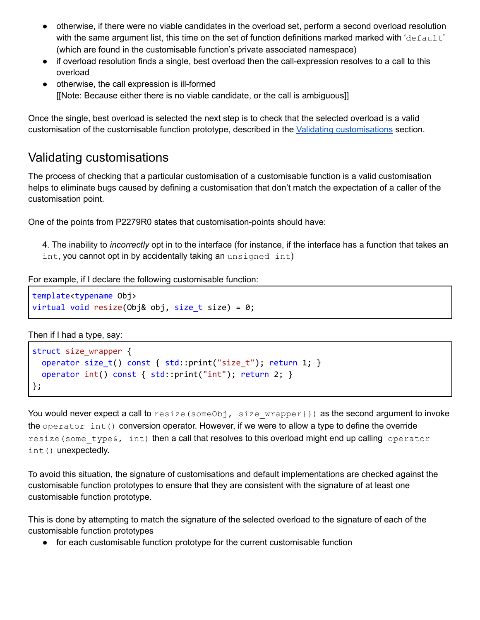- otherwise, if there were no viable candidates in the overload set, perform a second overload resolution with the same argument list, this time on the set of function definitions marked marked with 'default' (which are found in the customisable function's private associated namespace)
- if overload resolution finds a single, best overload then the call-expression resolves to a call to this overload
- otherwise, the call expression is ill-formed [[Note: Because either there is no viable candidate, or the call is ambiguous]]

Once the single, best overload is selected the next step is to check that the selected overload is a valid customisation of the customisable function prototype, described in the Validating [customisations](#page-40-0) section.

### <span id="page-40-0"></span>Validating customisations

The process of checking that a particular customisation of a customisable function is a valid customisation helps to eliminate bugs caused by defining a customisation that don't match the expectation of a caller of the customisation point.

One of the points from P2279R0 states that customisation-points should have:

4. The inability to *incorrectly* opt in to the interface (for instance, if the interface has a function that takes an int, you cannot opt in by accidentally taking an unsigned int)

For example, if I declare the following customisable function:

```
template<typename Obj>
virtual void resize(Obj& obj, size_t size) = 0;
```
Then if I had a type, say:

```
struct size_wrapper {
  operator size_t() const { std::print("size_t"); return 1; }
  operator int() const { std::print("int"); return 2; }
};
```
You would never expect a call to  $resize(someObj, size wrapper{}\)$  as the second argument to invoke the operator  $int()$  conversion operator. However, if we were to allow a type to define the override resize(some type  $\epsilon$ , int) then a call that resolves to this overload might end up calling operator int() unexpectedly.

To avoid this situation, the signature of customisations and default implementations are checked against the customisable function prototypes to ensure that they are consistent with the signature of at least one customisable function prototype.

This is done by attempting to match the signature of the selected overload to the signature of each of the customisable function prototypes

● for each customisable function prototype for the current customisable function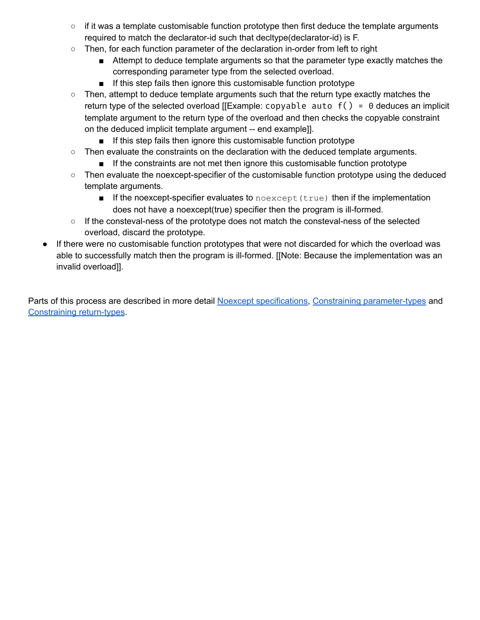- $\circ$  if it was a template customisable function prototype then first deduce the template arguments required to match the declarator-id such that decltype(declarator-id) is F.
- Then, for each function parameter of the declaration in-order from left to right
	- Attempt to deduce template arguments so that the parameter type exactly matches the corresponding parameter type from the selected overload.
	- If this step fails then ignore this customisable function prototype
- Then, attempt to deduce template arguments such that the return type exactly matches the return type of the selected overload [[Example: copyable auto  $f() = 0$  deduces an implicit template argument to the return type of the overload and then checks the copyable constraint on the deduced implicit template argument -- end example]].
	- If this step fails then ignore this customisable function prototype
- $\circ$  Then evaluate the constraints on the declaration with the deduced template arguments.
	- If the constraints are not met then ignore this customisable function prototype
- Then evaluate the noexcept-specifier of the customisable function prototype using the deduced template arguments.
	- If the noexcept-specifier evaluates to noexcept (true) then if the implementation does not have a noexcept(true) specifier then the program is ill-formed.
- If the consteval-ness of the prototype does not match the consteval-ness of the selected overload, discard the prototype.
- If there were no customisable function prototypes that were not discarded for which the overload was able to successfully match then the program is ill-formed. [[Note: Because the implementation was an invalid overload]].

Parts of this process are described in more detail Noexcept specifications, Constraining [parameter-types](#page-43-0) and [Constraining](#page-45-0) return-types.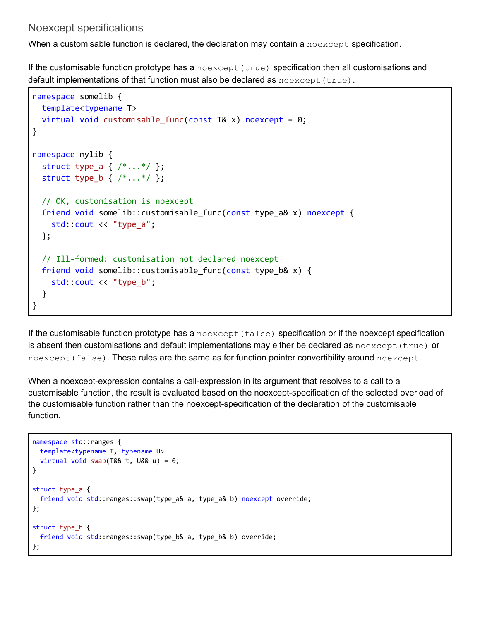### <span id="page-42-0"></span>Noexcept specifications

When a customisable function is declared, the declaration may contain a noexcept specification.

If the customisable function prototype has a  $\eta_{\text{noexcept}}(true)$  specification then all customisations and default implementations of that function must also be declared as  $\lceil \text{ncexcept}(\text{true}) \rceil$ .

```
namespace somelib {
  template<typename T>
  virtual void customisable_func(const T& x) noexcept = 0;}
namespace mylib {
  struct type_a { /*...*/ };
  struct type_b { /*...*/ };
  // OK, customisation is noexcept
  friend void somelib::customisable func(const type a& x) noexcept {
    std::cout << "type_a";
  };
  // Ill-formed: customisation not declared noexcept
  friend void somelib::customisable_func(const type_b& x) {
    std::cout << "type b";
  }
}
```
If the customisable function prototype has a  $n$  oexcept (false) specification or if the noexcept specification is absent then customisations and default implementations may either be declared as  $n$  oexcept (true) or noexcept (false). These rules are the same as for function pointer convertibility around noexcept.

When a noexcept-expression contains a call-expression in its argument that resolves to a call to a customisable function, the result is evaluated based on the noexcept-specification of the selected overload of the customisable function rather than the noexcept-specification of the declaration of the customisable function.

```
namespace std::ranges {
 template<typename T, typename U>
  virtual void swap(T&& t, U&& u) = 0;
}
struct type a {
  friend void std::ranges::swap(type_a& a, type_a& b) noexcept override;
};
struct type_b {
 friend void std::ranges::swap(type b& a, type b& b) override;
};
```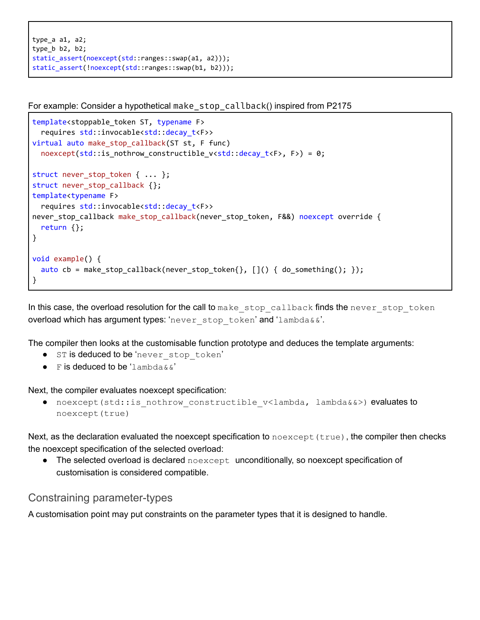```
type_a a1, a2;
type b b2, b2;
static_assert(noexcept(std::ranges::swap(a1, a2)));
static_assert(!noexcept(std::ranges::swap(b1, b2)));
```
For example: Consider a hypothetical make\_stop\_callback() inspired from P2175

```
template<stoppable token ST, typename F>
  requires std::invocable<std::decay_t<F>>
virtual auto make_stop_callback(ST st, F func)
  noexcept(std::is_nothrow_constructible_v<std::decay_t<F>, F>) = 0;
struct never_stop_token { ... };
struct never_stop_callback {};
template<typename F>
  requires std::invocable<std::decay_t<F>>
never_stop_callback make_stop_callback(never_stop_token, F&&) noexcept override {
 return {};
}
void example() {
  auto cb = make stop callback(never stop token{}, []( ) { do something(); });
}
```
In this case, the overload resolution for the call to make stop callback finds the never stop token overload which has argument types: 'never stop token' and 'lambda & &'.

The compiler then looks at the customisable function prototype and deduces the template arguments:

- ST is deduced to be 'never\_stop\_token'
- $\bullet$  F is deduced to be 'lambda & &'

Next, the compiler evaluates noexcept specification:

• noexcept(std::is nothrow constructible v<lambda, lambda&&>) evaluates to noexcept(true)

Next, as the declaration evaluated the noexcept specification to  $n$ oexcept (true), the compiler then checks the noexcept specification of the selected overload:

• The selected overload is declared  $n$  oexcept unconditionally, so noexcept specification of customisation is considered compatible.

#### <span id="page-43-0"></span>Constraining parameter-types

A customisation point may put constraints on the parameter types that it is designed to handle.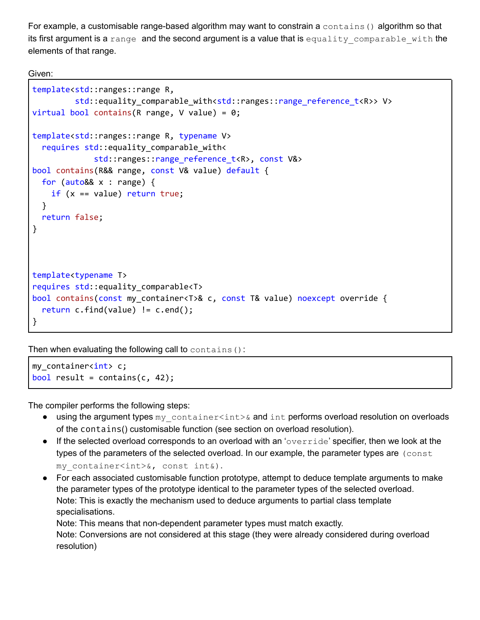For example, a customisable range-based algorithm may want to constrain a contains () algorithm so that its first argument is a range and the second argument is a value that is equality comparable with the elements of that range.

Given:

```
template<std::ranges::range R,
         std::equality_comparable_with<std::ranges::range_reference_t<R>> V>
virtual bool contains (R range, V value) = 0;
template<std::ranges::range R, typename V>
  requires std::equality_comparable_with<
             std::ranges::range_reference_t<R>, const V&>
bool contains(R&& range, const V& value) default {
  for (auto&& x : range) {
    if (x == value) return true;
  }
  return false;
}
template<typename T>
requires std::equality_comparable<T>
bool contains(const my_container<T>& c, const T& value) noexcept override {
  return c.find(value) != c.end();
}
```
Then when evaluating the following call to contains():

my container<int> c; bool result = contains( $c$ , 42);

The compiler performs the following steps:

- using the argument types my container<int>& and int performs overload resolution on overloads of the contains() customisable function (see section on overload resolution).
- $\bullet$  If the selected overload corresponds to an overload with an 'override' specifier, then we look at the types of the parameters of the selected overload. In our example, the parameter types are  $(const)$ my\_container<int>&, const int&).
- For each associated customisable function prototype, attempt to deduce template arguments to make the parameter types of the prototype identical to the parameter types of the selected overload. Note: This is exactly the mechanism used to deduce arguments to partial class template specialisations.

Note: This means that non-dependent parameter types must match exactly.

Note: Conversions are not considered at this stage (they were already considered during overload resolution)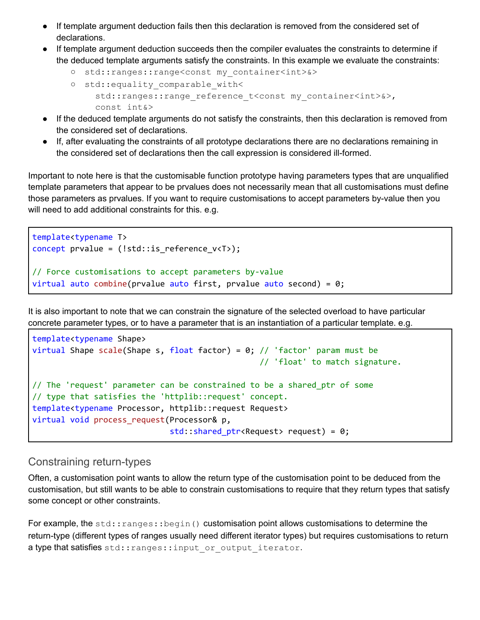- If template argument deduction fails then this declaration is removed from the considered set of declarations.
- If template argument deduction succeeds then the compiler evaluates the constraints to determine if the deduced template arguments satisfy the constraints. In this example we evaluate the constraints:
	- std::ranges::range<const my\_container<int>&>
	- std::equality\_comparable\_with< std::ranges::range\_reference\_t<const\_my\_container<int>&>, const int&>
- If the deduced template arguments do not satisfy the constraints, then this declaration is removed from the considered set of declarations.
- If, after evaluating the constraints of all prototype declarations there are no declarations remaining in the considered set of declarations then the call expression is considered ill-formed.

Important to note here is that the customisable function prototype having parameters types that are unqualified template parameters that appear to be prvalues does not necessarily mean that all customisations must define those parameters as prvalues. If you want to require customisations to accept parameters by-value then you will need to add additional constraints for this. e.g.

```
template<typename T>
concept prvalue = (!std::is_reference_v<T>);
// Force customisations to accept parameters by-value
virtual auto combine(prvalue auto first, prvalue auto second) = 0;
```
It is also important to note that we can constrain the signature of the selected overload to have particular concrete parameter types, or to have a parameter that is an instantiation of a particular template. e.g.

```
template<typename Shape>
virtual Shape scale(Shape s, float factor) = 0; // 'factor' param must be
                                                // 'float' to match signature.
// The 'request' parameter can be constrained to be a shared_ptr of some
// type that satisfies the 'httplib::request' concept.
template<typename Processor, httplib::request Request>
virtual void process_request(Processor& p,
                             std::shared ptr<Request> request) = 0;
```
### <span id="page-45-0"></span>Constraining return-types

Often, a customisation point wants to allow the return type of the customisation point to be deduced from the customisation, but still wants to be able to constrain customisations to require that they return types that satisfy some concept or other constraints.

For example, the std:: ranges:: begin() customisation point allows customisations to determine the return-type (different types of ranges usually need different iterator types) but requires customisations to return a type that satisfies std:: ranges:: input or output iterator.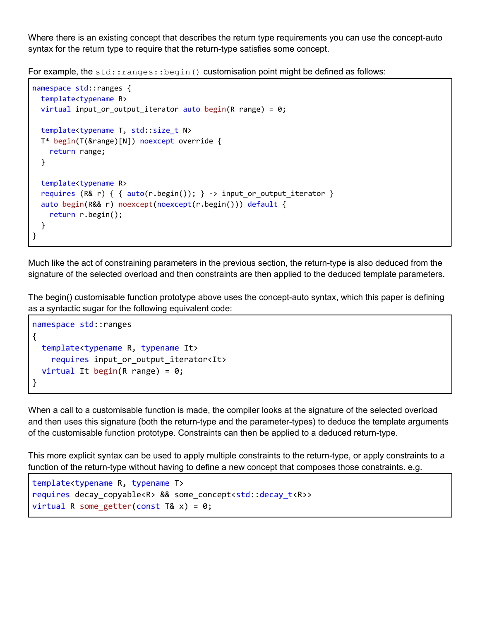Where there is an existing concept that describes the return type requirements you can use the concept-auto syntax for the return type to require that the return-type satisfies some concept.

For example, the std:: ranges:: begin() customisation point might be defined as follows:

```
namespace std::ranges {
  template<typename R>
 virtual input_or_output_iterator auto begin(R range) = 0;
 template<typename T, std::size_t N>
 T* begin(T(&range)[N]) noexcept override {
    return range;
 }
 template<typename R>
  requires (R& r) { { auto(r.begin()); } -> input_or_output_iterator }
  auto begin(R&& r) noexcept(noexcept(r.begin())) default {
    return r.begin();
  }
}
```
Much like the act of constraining parameters in the previous section, the return-type is also deduced from the signature of the selected overload and then constraints are then applied to the deduced template parameters.

The begin() customisable function prototype above uses the concept-auto syntax, which this paper is defining as a syntactic sugar for the following equivalent code:

```
namespace std::ranges
{
  template<typename R, typename It>
    requires input_or_output_iterator<It>
  virtual It begin(R range) = 0;
}
```
When a call to a customisable function is made, the compiler looks at the signature of the selected overload and then uses this signature (both the return-type and the parameter-types) to deduce the template arguments of the customisable function prototype. Constraints can then be applied to a deduced return-type.

This more explicit syntax can be used to apply multiple constraints to the return-type, or apply constraints to a function of the return-type without having to define a new concept that composes those constraints. e.g.

```
template<typename R, typename T>
requires decay_copyable<R> && some_concept<std::decay_t<R>>
virtual R some getter(const T& x) = 0;
```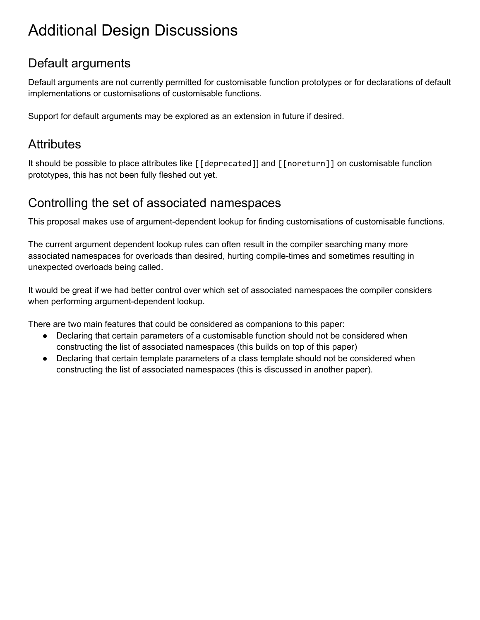# <span id="page-47-0"></span>Additional Design Discussions

## <span id="page-47-1"></span>Default arguments

Default arguments are not currently permitted for customisable function prototypes or for declarations of default implementations or customisations of customisable functions.

<span id="page-47-2"></span>Support for default arguments may be explored as an extension in future if desired.

### **Attributes**

It should be possible to place attributes like [[deprecated]] and [[noreturn]] on customisable function prototypes, this has not been fully fleshed out yet.

## <span id="page-47-3"></span>Controlling the set of associated namespaces

This proposal makes use of argument-dependent lookup for finding customisations of customisable functions.

The current argument dependent lookup rules can often result in the compiler searching many more associated namespaces for overloads than desired, hurting compile-times and sometimes resulting in unexpected overloads being called.

It would be great if we had better control over which set of associated namespaces the compiler considers when performing argument-dependent lookup.

There are two main features that could be considered as companions to this paper:

- Declaring that certain parameters of a customisable function should not be considered when constructing the list of associated namespaces (this builds on top of this paper)
- Declaring that certain template parameters of a class template should not be considered when constructing the list of associated namespaces (this is discussed in another paper).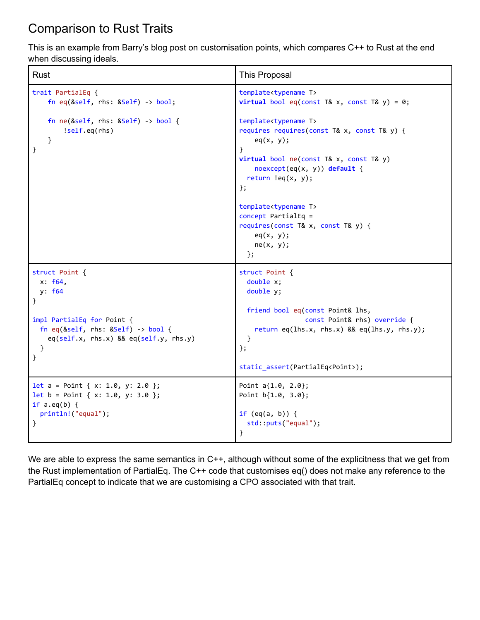## <span id="page-48-0"></span>Comparison to Rust Traits

This is an example from Barry's blog post on customisation points, which compares C++ to Rust at the end when discussing ideals.

| Rust                                                                                                                | This Proposal                                                                                                                                                                                                                                                                                                                                                                                                                                                    |
|---------------------------------------------------------------------------------------------------------------------|------------------------------------------------------------------------------------------------------------------------------------------------------------------------------------------------------------------------------------------------------------------------------------------------------------------------------------------------------------------------------------------------------------------------------------------------------------------|
| trait PartialEq {                                                                                                   | template <typename t=""></typename>                                                                                                                                                                                                                                                                                                                                                                                                                              |
| fn eq( $\&self,$ rhs: $\&Self)$ -> bool;                                                                            | <b>virtual</b> bool eq(const T& x, const T& y) = $0$ ;                                                                                                                                                                                                                                                                                                                                                                                                           |
| fn ne $(\&\text{self}, \text{rhs}: \&\text{Self}) \rightarrow \text{bool}$ {<br>!self.eq(rhs)<br>$\mathcal{E}$<br>} | template <typename t=""><br/>requires requires(const T&amp; x, const T&amp; y) {<br/>eq(x, y);<br/><sup>}</sup><br/>virtual bool ne(const T&amp; x, const T&amp; y)<br/><math>n</math>oexcept(eq(x, y)) default {<br/>return <math>leq(x, y)</math>;<br/><math>\}</math>;<br/>template<typename t=""><br/><math>concept</math> PartialEq =<br/>requires(const T&amp; x, const T&amp; y) {<br/>eq(x, y);<br/>ne(x, y);<br/><math>\}</math>;</typename></typename> |
| struct Point {                                                                                                      | struct Point {                                                                                                                                                                                                                                                                                                                                                                                                                                                   |
| x: f64,                                                                                                             | double x;                                                                                                                                                                                                                                                                                                                                                                                                                                                        |
| y: f64                                                                                                              | double y;                                                                                                                                                                                                                                                                                                                                                                                                                                                        |
| }                                                                                                                   | friend bool eq(const Point& lhs,                                                                                                                                                                                                                                                                                                                                                                                                                                 |
| impl PartialEq for Point {                                                                                          | const Point& rhs) override {                                                                                                                                                                                                                                                                                                                                                                                                                                     |
| fn eq( $\text{dself}$ , rhs: $\text{dself}$ ) -> bool {                                                             | return eq(lhs.x, rhs.x) && eq(lhs.y, rhs.y);                                                                                                                                                                                                                                                                                                                                                                                                                     |
| eq(self.x, rhs.x) && eq(self.y, rhs.y)                                                                              | }                                                                                                                                                                                                                                                                                                                                                                                                                                                                |
| }                                                                                                                   | $};$                                                                                                                                                                                                                                                                                                                                                                                                                                                             |
| }                                                                                                                   | static_assert(PartialEq <point>);</point>                                                                                                                                                                                                                                                                                                                                                                                                                        |
| let $a = Point { x: 1.0, y: 2.0 };$                                                                                 | Point $a{1.0, 2.0}$ ;                                                                                                                                                                                                                                                                                                                                                                                                                                            |
| $let b = Point { x: 1.0, y: 3.0 };$                                                                                 | Point $b{1.0, 3.0}$ ;                                                                                                                                                                                                                                                                                                                                                                                                                                            |
| if $a.eq(b)$ {                                                                                                      | if $(eq(a, b))$ {                                                                                                                                                                                                                                                                                                                                                                                                                                                |
| println!("equal");                                                                                                  | std::puts("equal");                                                                                                                                                                                                                                                                                                                                                                                                                                              |
| $\}$                                                                                                                | $\}$                                                                                                                                                                                                                                                                                                                                                                                                                                                             |

We are able to express the same semantics in C++, although without some of the explicitness that we get from the Rust implementation of PartialEq. The C++ code that customises eq() does not make any reference to the PartialEq concept to indicate that we are customising a CPO associated with that trait.